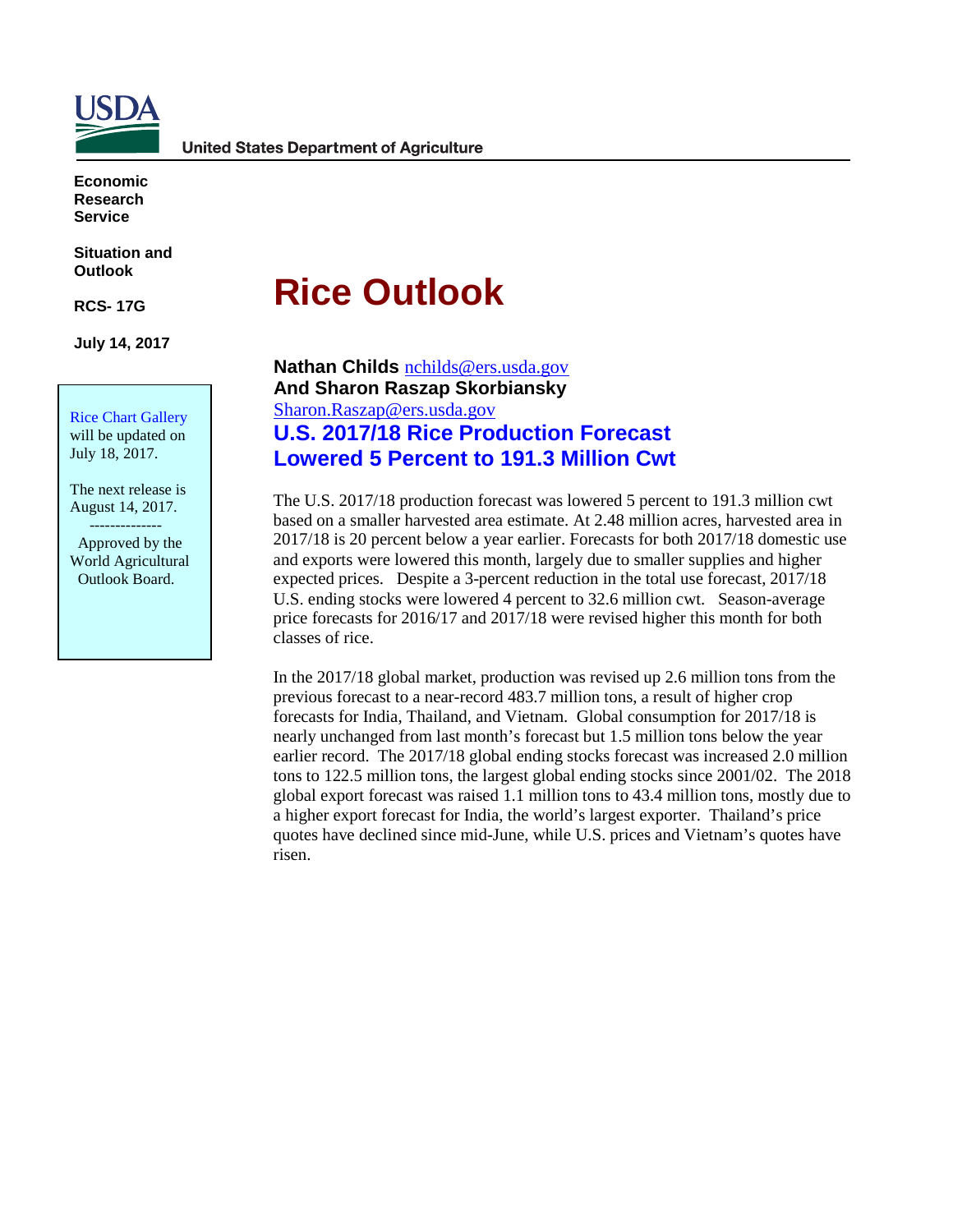

**Economic Research Service**

**Situation and Outlook**

**RCS- 17G**

**July 14, 2017** 

Rice Chart Gallery will be updated on July 18, 2017.

The next release is August 14, 2017.

 -------------- Approved by the World Agricultural Outlook Board.

# **Rice Outlook**

**Nathan Childs** [nchilds@ers.usda.gov](mailto:nchilds@ers.usda.gov) **And Sharon Raszap Skorbiansky** [Sharon.Raszap@ers.usda.gov](mailto:Sharon.Raszap@ers.usda.gov) **U.S. 2017/18 Rice Production Forecast Lowered 5 Percent to 191.3 Million Cwt**

The U.S. 2017/18 production forecast was lowered 5 percent to 191.3 million cwt based on a smaller harvested area estimate. At 2.48 million acres, harvested area in 2017/18 is 20 percent below a year earlier. Forecasts for both 2017/18 domestic use and exports were lowered this month, largely due to smaller supplies and higher expected prices. Despite a 3-percent reduction in the total use forecast, 2017/18 U.S. ending stocks were lowered 4 percent to 32.6 million cwt. Season-average price forecasts for 2016/17 and 2017/18 were revised higher this month for both classes of rice.

In the 2017/18 global market, production was revised up 2.6 million tons from the previous forecast to a near-record 483.7 million tons, a result of higher crop forecasts for India, Thailand, and Vietnam. Global consumption for 2017/18 is nearly unchanged from last month's forecast but 1.5 million tons below the year earlier record. The 2017/18 global ending stocks forecast was increased 2.0 million tons to 122.5 million tons, the largest global ending stocks since 2001/02. The 2018 global export forecast was raised 1.1 million tons to 43.4 million tons, mostly due to a higher export forecast for India, the world's largest exporter. Thailand's price quotes have declined since mid-June, while U.S. prices and Vietnam's quotes have risen.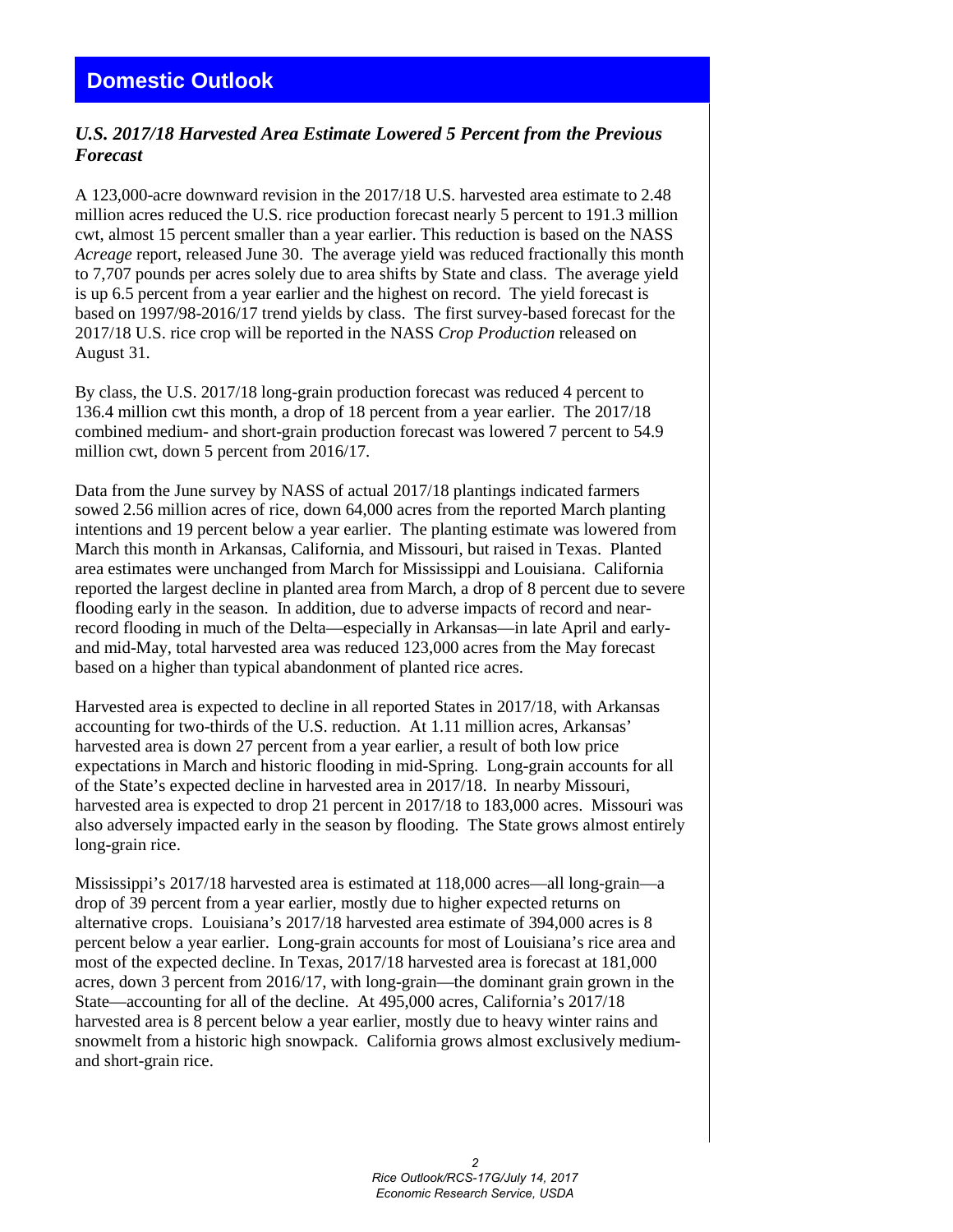# *U.S. 2017/18 Harvested Area Estimate Lowered 5 Percent from the Previous Forecast*

A 123,000-acre downward revision in the 2017/18 U.S. harvested area estimate to 2.48 million acres reduced the U.S. rice production forecast nearly 5 percent to 191.3 million cwt, almost 15 percent smaller than a year earlier. This reduction is based on the NASS *Acreage* report, released June 30. The average yield was reduced fractionally this month to 7,707 pounds per acres solely due to area shifts by State and class. The average yield is up 6.5 percent from a year earlier and the highest on record. The yield forecast is based on 1997/98-2016/17 trend yields by class. The first survey-based forecast for the 2017/18 U.S. rice crop will be reported in the NASS *Crop Production* released on August 31.

By class, the U.S. 2017/18 long-grain production forecast was reduced 4 percent to 136.4 million cwt this month, a drop of 18 percent from a year earlier. The 2017/18 combined medium- and short-grain production forecast was lowered 7 percent to 54.9 million cwt, down 5 percent from 2016/17.

Data from the June survey by NASS of actual 2017/18 plantings indicated farmers sowed 2.56 million acres of rice, down 64,000 acres from the reported March planting intentions and 19 percent below a year earlier. The planting estimate was lowered from March this month in Arkansas, California, and Missouri, but raised in Texas. Planted area estimates were unchanged from March for Mississippi and Louisiana. California reported the largest decline in planted area from March, a drop of 8 percent due to severe flooding early in the season. In addition, due to adverse impacts of record and nearrecord flooding in much of the Delta—especially in Arkansas—in late April and earlyand mid-May, total harvested area was reduced 123,000 acres from the May forecast based on a higher than typical abandonment of planted rice acres.

Harvested area is expected to decline in all reported States in 2017/18, with Arkansas accounting for two-thirds of the U.S. reduction. At 1.11 million acres, Arkansas' harvested area is down 27 percent from a year earlier, a result of both low price expectations in March and historic flooding in mid-Spring. Long-grain accounts for all of the State's expected decline in harvested area in 2017/18. In nearby Missouri, harvested area is expected to drop 21 percent in 2017/18 to 183,000 acres. Missouri was also adversely impacted early in the season by flooding. The State grows almost entirely long-grain rice.

Mississippi's 2017/18 harvested area is estimated at 118,000 acres—all long-grain—a drop of 39 percent from a year earlier, mostly due to higher expected returns on alternative crops. Louisiana's 2017/18 harvested area estimate of 394,000 acres is 8 percent below a year earlier. Long-grain accounts for most of Louisiana's rice area and most of the expected decline. In Texas, 2017/18 harvested area is forecast at 181,000 acres, down 3 percent from 2016/17, with long-grain—the dominant grain grown in the State—accounting for all of the decline. At 495,000 acres, California's 2017/18 harvested area is 8 percent below a year earlier, mostly due to heavy winter rains and snowmelt from a historic high snowpack. California grows almost exclusively mediumand short-grain rice.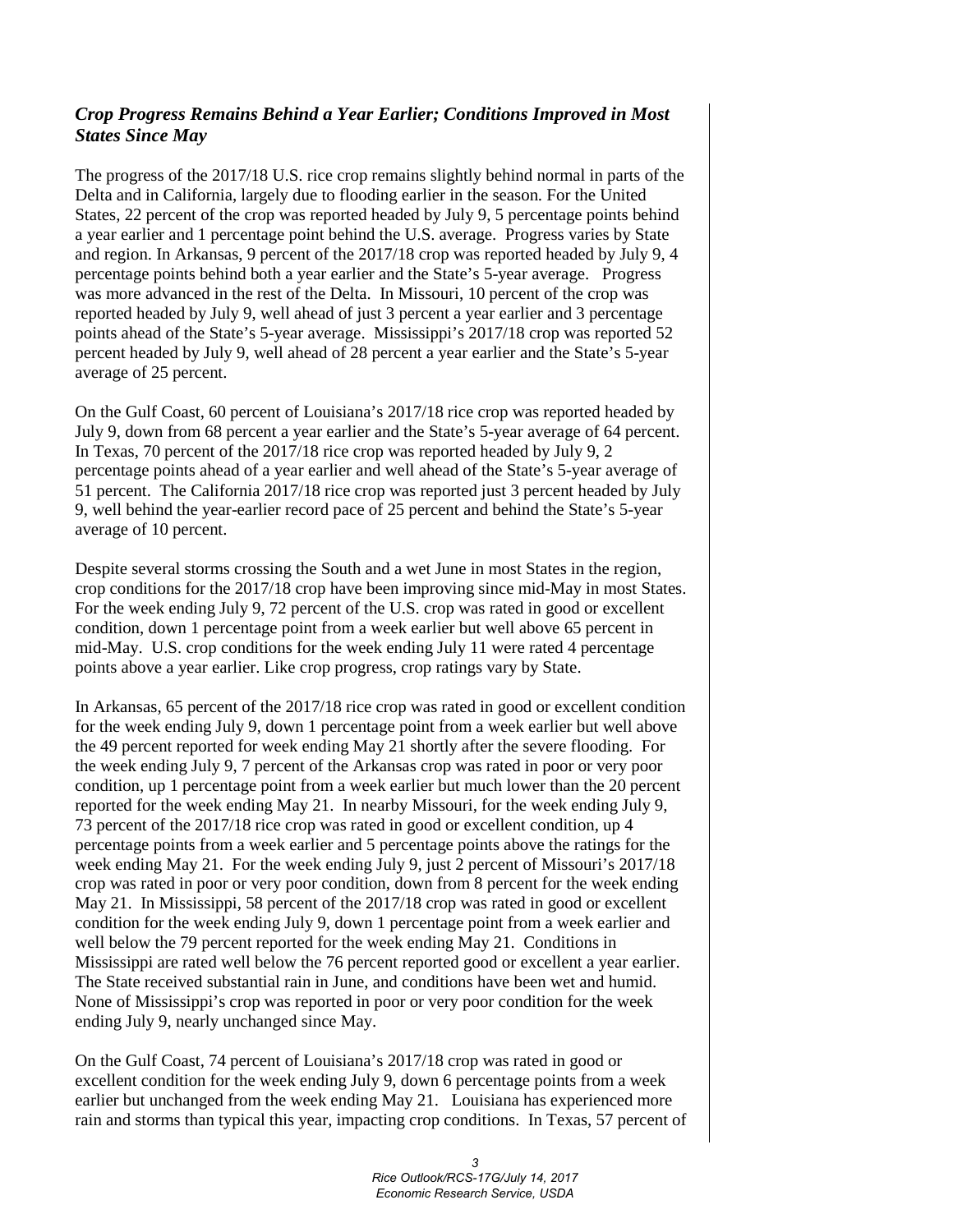# *Crop Progress Remains Behind a Year Earlier; Conditions Improved in Most States Since May*

The progress of the 2017/18 U.S. rice crop remains slightly behind normal in parts of the Delta and in California, largely due to flooding earlier in the season. For the United States, 22 percent of the crop was reported headed by July 9, 5 percentage points behind a year earlier and 1 percentage point behind the U.S. average. Progress varies by State and region. In Arkansas, 9 percent of the 2017/18 crop was reported headed by July 9, 4 percentage points behind both a year earlier and the State's 5-year average. Progress was more advanced in the rest of the Delta. In Missouri, 10 percent of the crop was reported headed by July 9, well ahead of just 3 percent a year earlier and 3 percentage points ahead of the State's 5-year average. Mississippi's 2017/18 crop was reported 52 percent headed by July 9, well ahead of 28 percent a year earlier and the State's 5-year average of 25 percent.

On the Gulf Coast, 60 percent of Louisiana's 2017/18 rice crop was reported headed by July 9, down from 68 percent a year earlier and the State's 5-year average of 64 percent. In Texas, 70 percent of the 2017/18 rice crop was reported headed by July 9, 2 percentage points ahead of a year earlier and well ahead of the State's 5-year average of 51 percent. The California 2017/18 rice crop was reported just 3 percent headed by July 9, well behind the year-earlier record pace of 25 percent and behind the State's 5-year average of 10 percent.

Despite several storms crossing the South and a wet June in most States in the region, crop conditions for the 2017/18 crop have been improving since mid-May in most States. For the week ending July 9, 72 percent of the U.S. crop was rated in good or excellent condition, down 1 percentage point from a week earlier but well above 65 percent in mid-May. U.S. crop conditions for the week ending July 11 were rated 4 percentage points above a year earlier. Like crop progress, crop ratings vary by State.

In Arkansas, 65 percent of the 2017/18 rice crop was rated in good or excellent condition for the week ending July 9, down 1 percentage point from a week earlier but well above the 49 percent reported for week ending May 21 shortly after the severe flooding. For the week ending July 9, 7 percent of the Arkansas crop was rated in poor or very poor condition, up 1 percentage point from a week earlier but much lower than the 20 percent reported for the week ending May 21. In nearby Missouri, for the week ending July 9, 73 percent of the 2017/18 rice crop was rated in good or excellent condition, up 4 percentage points from a week earlier and 5 percentage points above the ratings for the week ending May 21. For the week ending July 9, just 2 percent of Missouri's 2017/18 crop was rated in poor or very poor condition, down from 8 percent for the week ending May 21. In Mississippi, 58 percent of the 2017/18 crop was rated in good or excellent condition for the week ending July 9, down 1 percentage point from a week earlier and well below the 79 percent reported for the week ending May 21. Conditions in Mississippi are rated well below the 76 percent reported good or excellent a year earlier. The State received substantial rain in June, and conditions have been wet and humid. None of Mississippi's crop was reported in poor or very poor condition for the week ending July 9, nearly unchanged since May.

On the Gulf Coast, 74 percent of Louisiana's 2017/18 crop was rated in good or excellent condition for the week ending July 9, down 6 percentage points from a week earlier but unchanged from the week ending May 21. Louisiana has experienced more rain and storms than typical this year, impacting crop conditions. In Texas, 57 percent of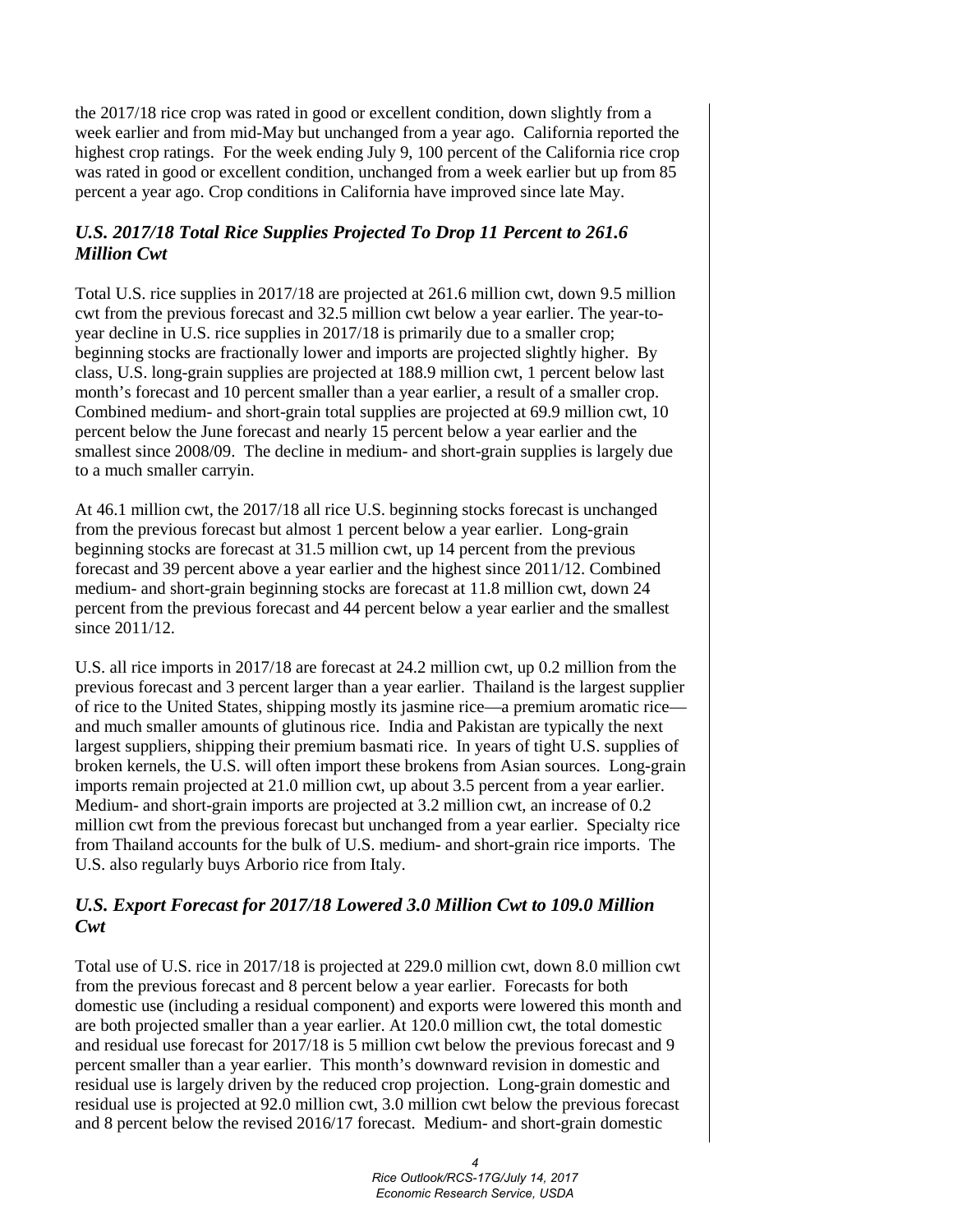the 2017/18 rice crop was rated in good or excellent condition, down slightly from a week earlier and from mid-May but unchanged from a year ago. California reported the highest crop ratings. For the week ending July 9, 100 percent of the California rice crop was rated in good or excellent condition, unchanged from a week earlier but up from 85 percent a year ago. Crop conditions in California have improved since late May.

# *U.S. 2017/18 Total Rice Supplies Projected To Drop 11 Percent to 261.6 Million Cwt*

Total U.S. rice supplies in 2017/18 are projected at 261.6 million cwt, down 9.5 million cwt from the previous forecast and 32.5 million cwt below a year earlier. The year-toyear decline in U.S. rice supplies in 2017/18 is primarily due to a smaller crop; beginning stocks are fractionally lower and imports are projected slightly higher. By class, U.S. long-grain supplies are projected at 188.9 million cwt, 1 percent below last month's forecast and 10 percent smaller than a year earlier, a result of a smaller crop. Combined medium- and short-grain total supplies are projected at 69.9 million cwt, 10 percent below the June forecast and nearly 15 percent below a year earlier and the smallest since 2008/09. The decline in medium- and short-grain supplies is largely due to a much smaller carryin.

At 46.1 million cwt, the 2017/18 all rice U.S. beginning stocks forecast is unchanged from the previous forecast but almost 1 percent below a year earlier. Long-grain beginning stocks are forecast at 31.5 million cwt, up 14 percent from the previous forecast and 39 percent above a year earlier and the highest since 2011/12. Combined medium- and short-grain beginning stocks are forecast at 11.8 million cwt, down 24 percent from the previous forecast and 44 percent below a year earlier and the smallest since 2011/12.

U.S. all rice imports in 2017/18 are forecast at 24.2 million cwt, up 0.2 million from the previous forecast and 3 percent larger than a year earlier. Thailand is the largest supplier of rice to the United States, shipping mostly its jasmine rice—a premium aromatic rice and much smaller amounts of glutinous rice. India and Pakistan are typically the next largest suppliers, shipping their premium basmati rice. In years of tight U.S. supplies of broken kernels, the U.S. will often import these brokens from Asian sources. Long-grain imports remain projected at 21.0 million cwt, up about 3.5 percent from a year earlier. Medium- and short-grain imports are projected at 3.2 million cwt, an increase of 0.2 million cwt from the previous forecast but unchanged from a year earlier. Specialty rice from Thailand accounts for the bulk of U.S. medium- and short-grain rice imports. The U.S. also regularly buys Arborio rice from Italy.

## *U.S. Export Forecast for 2017/18 Lowered 3.0 Million Cwt to 109.0 Million Cwt*

Total use of U.S. rice in 2017/18 is projected at 229.0 million cwt, down 8.0 million cwt from the previous forecast and 8 percent below a year earlier. Forecasts for both domestic use (including a residual component) and exports were lowered this month and are both projected smaller than a year earlier. At 120.0 million cwt, the total domestic and residual use forecast for 2017/18 is 5 million cwt below the previous forecast and 9 percent smaller than a year earlier. This month's downward revision in domestic and residual use is largely driven by the reduced crop projection. Long-grain domestic and residual use is projected at 92.0 million cwt, 3.0 million cwt below the previous forecast and 8 percent below the revised 2016/17 forecast. Medium- and short-grain domestic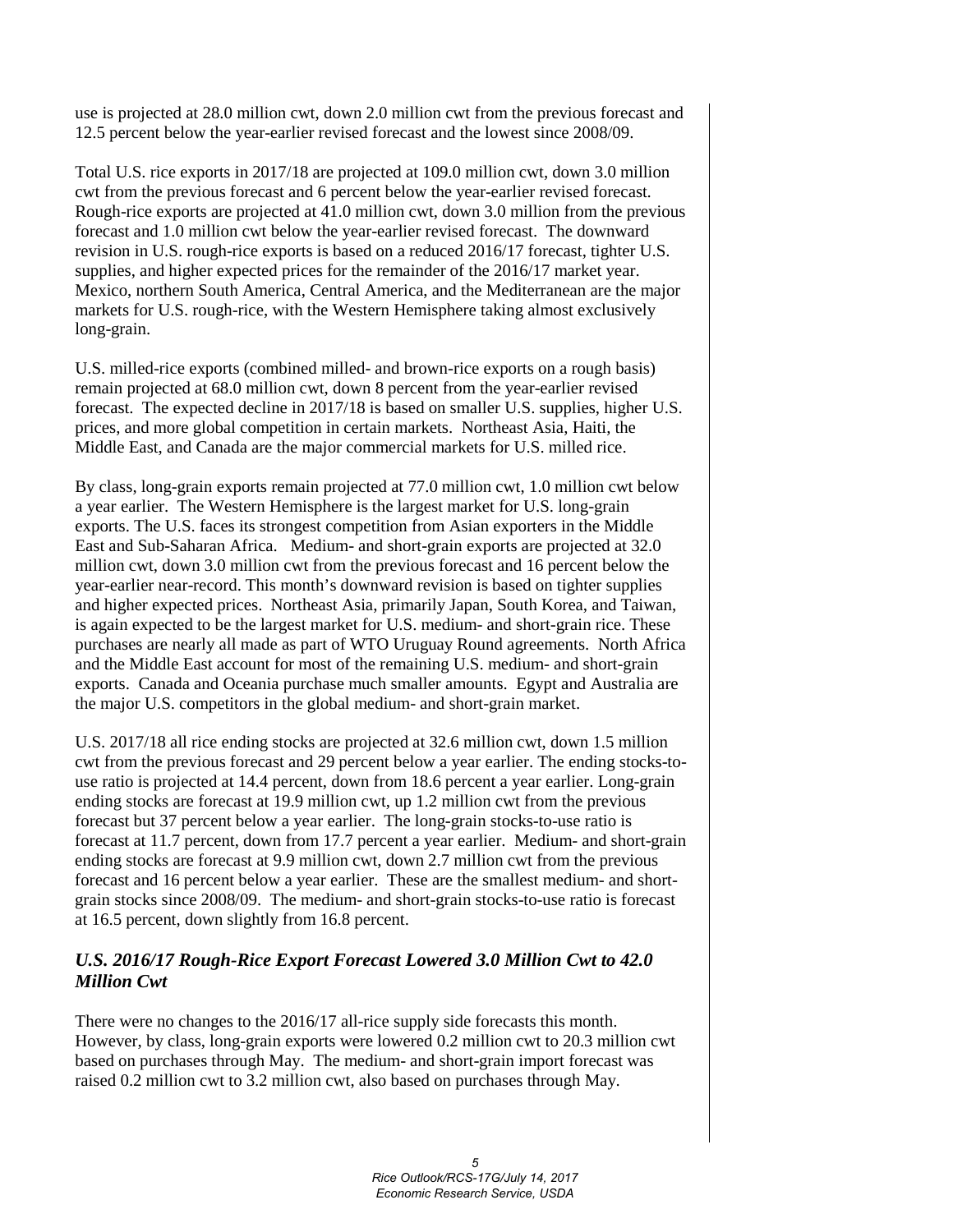use is projected at 28.0 million cwt, down 2.0 million cwt from the previous forecast and 12.5 percent below the year-earlier revised forecast and the lowest since 2008/09.

Total U.S. rice exports in 2017/18 are projected at 109.0 million cwt, down 3.0 million cwt from the previous forecast and 6 percent below the year-earlier revised forecast. Rough-rice exports are projected at 41.0 million cwt, down 3.0 million from the previous forecast and 1.0 million cwt below the year-earlier revised forecast. The downward revision in U.S. rough-rice exports is based on a reduced 2016/17 forecast, tighter U.S. supplies, and higher expected prices for the remainder of the 2016/17 market year. Mexico, northern South America, Central America, and the Mediterranean are the major markets for U.S. rough-rice, with the Western Hemisphere taking almost exclusively long-grain.

U.S. milled-rice exports (combined milled- and brown-rice exports on a rough basis) remain projected at 68.0 million cwt, down 8 percent from the year-earlier revised forecast. The expected decline in 2017/18 is based on smaller U.S. supplies, higher U.S. prices, and more global competition in certain markets. Northeast Asia, Haiti, the Middle East, and Canada are the major commercial markets for U.S. milled rice.

By class, long-grain exports remain projected at 77.0 million cwt, 1.0 million cwt below a year earlier. The Western Hemisphere is the largest market for U.S. long-grain exports. The U.S. faces its strongest competition from Asian exporters in the Middle East and Sub-Saharan Africa. Medium- and short-grain exports are projected at 32.0 million cwt, down 3.0 million cwt from the previous forecast and 16 percent below the year-earlier near-record. This month's downward revision is based on tighter supplies and higher expected prices. Northeast Asia, primarily Japan, South Korea, and Taiwan, is again expected to be the largest market for U.S. medium- and short-grain rice. These purchases are nearly all made as part of WTO Uruguay Round agreements. North Africa and the Middle East account for most of the remaining U.S. medium- and short-grain exports. Canada and Oceania purchase much smaller amounts. Egypt and Australia are the major U.S. competitors in the global medium- and short-grain market.

U.S. 2017/18 all rice ending stocks are projected at 32.6 million cwt, down 1.5 million cwt from the previous forecast and 29 percent below a year earlier. The ending stocks-touse ratio is projected at 14.4 percent, down from 18.6 percent a year earlier. Long-grain ending stocks are forecast at 19.9 million cwt, up 1.2 million cwt from the previous forecast but 37 percent below a year earlier. The long-grain stocks-to-use ratio is forecast at 11.7 percent, down from 17.7 percent a year earlier. Medium- and short-grain ending stocks are forecast at 9.9 million cwt, down 2.7 million cwt from the previous forecast and 16 percent below a year earlier. These are the smallest medium- and shortgrain stocks since 2008/09. The medium- and short-grain stocks-to-use ratio is forecast at 16.5 percent, down slightly from 16.8 percent.

## *U.S. 2016/17 Rough-Rice Export Forecast Lowered 3.0 Million Cwt to 42.0 Million Cwt*

There were no changes to the 2016/17 all-rice supply side forecasts this month. However, by class, long-grain exports were lowered 0.2 million cwt to 20.3 million cwt based on purchases through May. The medium- and short-grain import forecast was raised 0.2 million cwt to 3.2 million cwt, also based on purchases through May.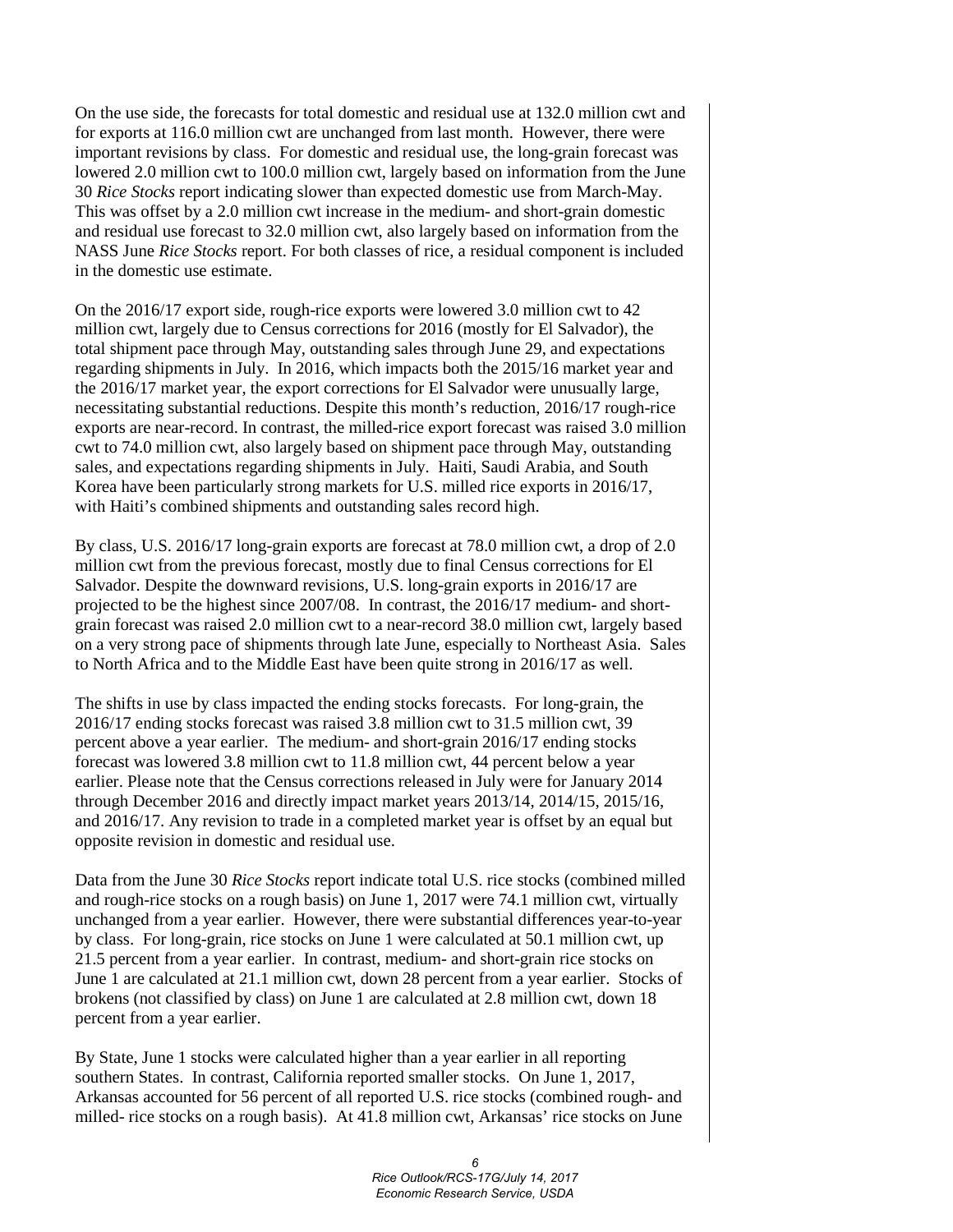On the use side, the forecasts for total domestic and residual use at 132.0 million cwt and for exports at 116.0 million cwt are unchanged from last month. However, there were important revisions by class. For domestic and residual use, the long-grain forecast was lowered 2.0 million cwt to 100.0 million cwt, largely based on information from the June 30 *Rice Stocks* report indicating slower than expected domestic use from March-May. This was offset by a 2.0 million cwt increase in the medium- and short-grain domestic and residual use forecast to 32.0 million cwt, also largely based on information from the NASS June *Rice Stocks* report. For both classes of rice, a residual component is included in the domestic use estimate.

On the 2016/17 export side, rough-rice exports were lowered 3.0 million cwt to 42 million cwt, largely due to Census corrections for 2016 (mostly for El Salvador), the total shipment pace through May, outstanding sales through June 29, and expectations regarding shipments in July. In 2016, which impacts both the 2015/16 market year and the 2016/17 market year, the export corrections for El Salvador were unusually large, necessitating substantial reductions. Despite this month's reduction, 2016/17 rough-rice exports are near-record. In contrast, the milled-rice export forecast was raised 3.0 million cwt to 74.0 million cwt, also largely based on shipment pace through May, outstanding sales, and expectations regarding shipments in July. Haiti, Saudi Arabia, and South Korea have been particularly strong markets for U.S. milled rice exports in 2016/17, with Haiti's combined shipments and outstanding sales record high.

By class, U.S. 2016/17 long-grain exports are forecast at 78.0 million cwt, a drop of 2.0 million cwt from the previous forecast, mostly due to final Census corrections for El Salvador. Despite the downward revisions, U.S. long-grain exports in 2016/17 are projected to be the highest since 2007/08. In contrast, the 2016/17 medium- and shortgrain forecast was raised 2.0 million cwt to a near-record 38.0 million cwt, largely based on a very strong pace of shipments through late June, especially to Northeast Asia. Sales to North Africa and to the Middle East have been quite strong in 2016/17 as well.

The shifts in use by class impacted the ending stocks forecasts. For long-grain, the 2016/17 ending stocks forecast was raised 3.8 million cwt to 31.5 million cwt, 39 percent above a year earlier. The medium- and short-grain 2016/17 ending stocks forecast was lowered 3.8 million cwt to 11.8 million cwt, 44 percent below a year earlier. Please note that the Census corrections released in July were for January 2014 through December 2016 and directly impact market years 2013/14, 2014/15, 2015/16, and 2016/17. Any revision to trade in a completed market year is offset by an equal but opposite revision in domestic and residual use.

Data from the June 30 *Rice Stocks* report indicate total U.S. rice stocks (combined milled and rough-rice stocks on a rough basis) on June 1, 2017 were 74.1 million cwt, virtually unchanged from a year earlier. However, there were substantial differences year-to-year by class. For long-grain, rice stocks on June 1 were calculated at 50.1 million cwt, up 21.5 percent from a year earlier. In contrast, medium- and short-grain rice stocks on June 1 are calculated at 21.1 million cwt, down 28 percent from a year earlier. Stocks of brokens (not classified by class) on June 1 are calculated at 2.8 million cwt, down 18 percent from a year earlier.

By State, June 1 stocks were calculated higher than a year earlier in all reporting southern States. In contrast, California reported smaller stocks. On June 1, 2017, Arkansas accounted for 56 percent of all reported U.S. rice stocks (combined rough- and milled- rice stocks on a rough basis). At 41.8 million cwt, Arkansas' rice stocks on June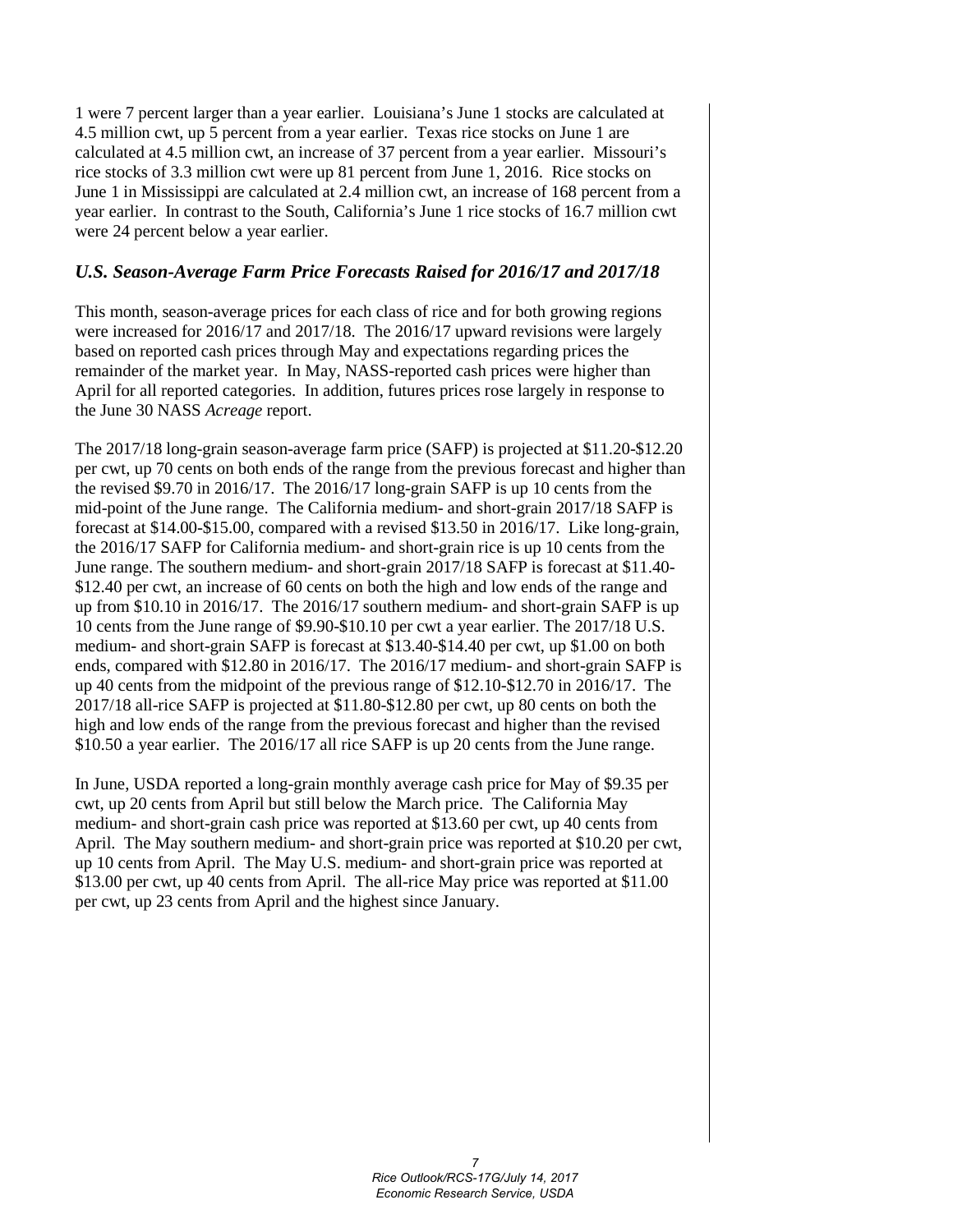1 were 7 percent larger than a year earlier. Louisiana's June 1 stocks are calculated at 4.5 million cwt, up 5 percent from a year earlier. Texas rice stocks on June 1 are calculated at 4.5 million cwt, an increase of 37 percent from a year earlier. Missouri's rice stocks of 3.3 million cwt were up 81 percent from June 1, 2016. Rice stocks on June 1 in Mississippi are calculated at 2.4 million cwt, an increase of 168 percent from a year earlier. In contrast to the South, California's June 1 rice stocks of 16.7 million cwt were 24 percent below a year earlier.

#### *U.S. Season-Average Farm Price Forecasts Raised for 2016/17 and 2017/18*

This month, season-average prices for each class of rice and for both growing regions were increased for 2016/17 and 2017/18. The 2016/17 upward revisions were largely based on reported cash prices through May and expectations regarding prices the remainder of the market year. In May, NASS-reported cash prices were higher than April for all reported categories. In addition, futures prices rose largely in response to the June 30 NASS *Acreage* report.

The 2017/18 long-grain season-average farm price (SAFP) is projected at \$11.20-\$12.20 per cwt, up 70 cents on both ends of the range from the previous forecast and higher than the revised \$9.70 in 2016/17. The 2016/17 long-grain SAFP is up 10 cents from the mid-point of the June range. The California medium- and short-grain 2017/18 SAFP is forecast at \$14.00-\$15.00, compared with a revised \$13.50 in 2016/17. Like long-grain, the 2016/17 SAFP for California medium- and short-grain rice is up 10 cents from the June range. The southern medium- and short-grain 2017/18 SAFP is forecast at \$11.40- \$12.40 per cwt, an increase of 60 cents on both the high and low ends of the range and up from \$10.10 in 2016/17. The 2016/17 southern medium- and short-grain SAFP is up 10 cents from the June range of \$9.90-\$10.10 per cwt a year earlier. The 2017/18 U.S. medium- and short-grain SAFP is forecast at \$13.40-\$14.40 per cwt, up \$1.00 on both ends, compared with \$12.80 in 2016/17. The 2016/17 medium- and short-grain SAFP is up 40 cents from the midpoint of the previous range of \$12.10-\$12.70 in 2016/17. The 2017/18 all-rice SAFP is projected at \$11.80-\$12.80 per cwt, up 80 cents on both the high and low ends of the range from the previous forecast and higher than the revised \$10.50 a year earlier. The 2016/17 all rice SAFP is up 20 cents from the June range.

In June, USDA reported a long-grain monthly average cash price for May of \$9.35 per cwt, up 20 cents from April but still below the March price. The California May medium- and short-grain cash price was reported at \$13.60 per cwt, up 40 cents from April. The May southern medium- and short-grain price was reported at \$10.20 per cwt, up 10 cents from April. The May U.S. medium- and short-grain price was reported at \$13.00 per cwt, up 40 cents from April. The all-rice May price was reported at \$11.00 per cwt, up 23 cents from April and the highest since January.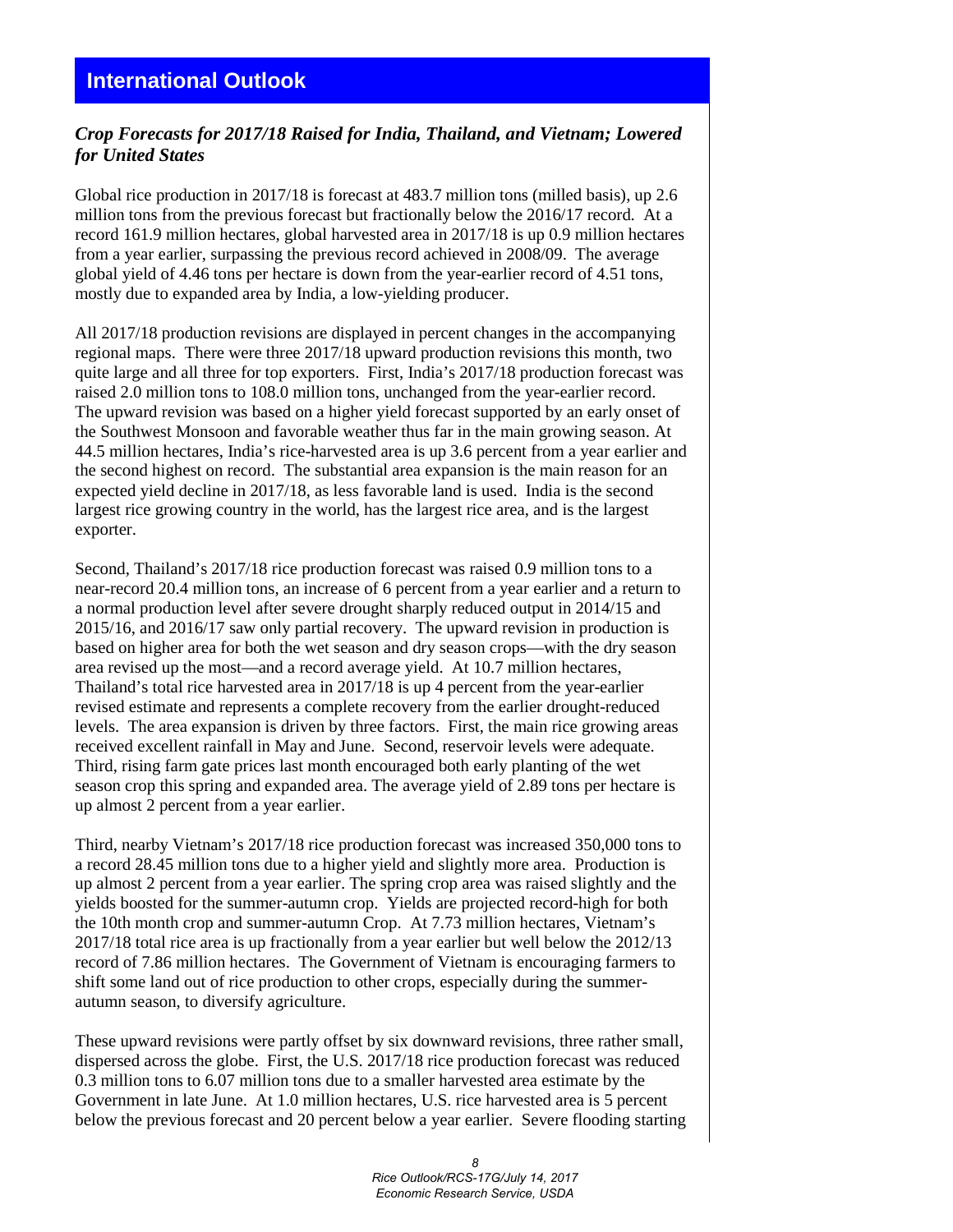# *Crop Forecasts for 2017/18 Raised for India, Thailand, and Vietnam; Lowered for United States*

Global rice production in 2017/18 is forecast at 483.7 million tons (milled basis), up 2.6 million tons from the previous forecast but fractionally below the 2016/17 record. At a record 161.9 million hectares, global harvested area in 2017/18 is up 0.9 million hectares from a year earlier, surpassing the previous record achieved in 2008/09. The average global yield of 4.46 tons per hectare is down from the year-earlier record of 4.51 tons, mostly due to expanded area by India, a low-yielding producer.

All 2017/18 production revisions are displayed in percent changes in the accompanying regional maps. There were three 2017/18 upward production revisions this month, two quite large and all three for top exporters. First, India's 2017/18 production forecast was raised 2.0 million tons to 108.0 million tons, unchanged from the year-earlier record. The upward revision was based on a higher yield forecast supported by an early onset of the Southwest Monsoon and favorable weather thus far in the main growing season. At 44.5 million hectares, India's rice-harvested area is up 3.6 percent from a year earlier and the second highest on record. The substantial area expansion is the main reason for an expected yield decline in 2017/18, as less favorable land is used. India is the second largest rice growing country in the world, has the largest rice area, and is the largest exporter.

Second, Thailand's 2017/18 rice production forecast was raised 0.9 million tons to a near-record 20.4 million tons, an increase of 6 percent from a year earlier and a return to a normal production level after severe drought sharply reduced output in 2014/15 and 2015/16, and 2016/17 saw only partial recovery. The upward revision in production is based on higher area for both the wet season and dry season crops—with the dry season area revised up the most—and a record average yield. At 10.7 million hectares, Thailand's total rice harvested area in 2017/18 is up 4 percent from the year-earlier revised estimate and represents a complete recovery from the earlier drought-reduced levels. The area expansion is driven by three factors. First, the main rice growing areas received excellent rainfall in May and June. Second, reservoir levels were adequate. Third, rising farm gate prices last month encouraged both early planting of the wet season crop this spring and expanded area. The average yield of 2.89 tons per hectare is up almost 2 percent from a year earlier.

Third, nearby Vietnam's 2017/18 rice production forecast was increased 350,000 tons to a record 28.45 million tons due to a higher yield and slightly more area. Production is up almost 2 percent from a year earlier. The spring crop area was raised slightly and the yields boosted for the summer-autumn crop. Yields are projected record-high for both the 10th month crop and summer-autumn Crop. At 7.73 million hectares, Vietnam's 2017/18 total rice area is up fractionally from a year earlier but well below the 2012/13 record of 7.86 million hectares. The Government of Vietnam is encouraging farmers to shift some land out of rice production to other crops, especially during the summerautumn season, to diversify agriculture.

These upward revisions were partly offset by six downward revisions, three rather small, dispersed across the globe. First, the U.S. 2017/18 rice production forecast was reduced 0.3 million tons to 6.07 million tons due to a smaller harvested area estimate by the Government in late June. At 1.0 million hectares, U.S. rice harvested area is 5 percent below the previous forecast and 20 percent below a year earlier. Severe flooding starting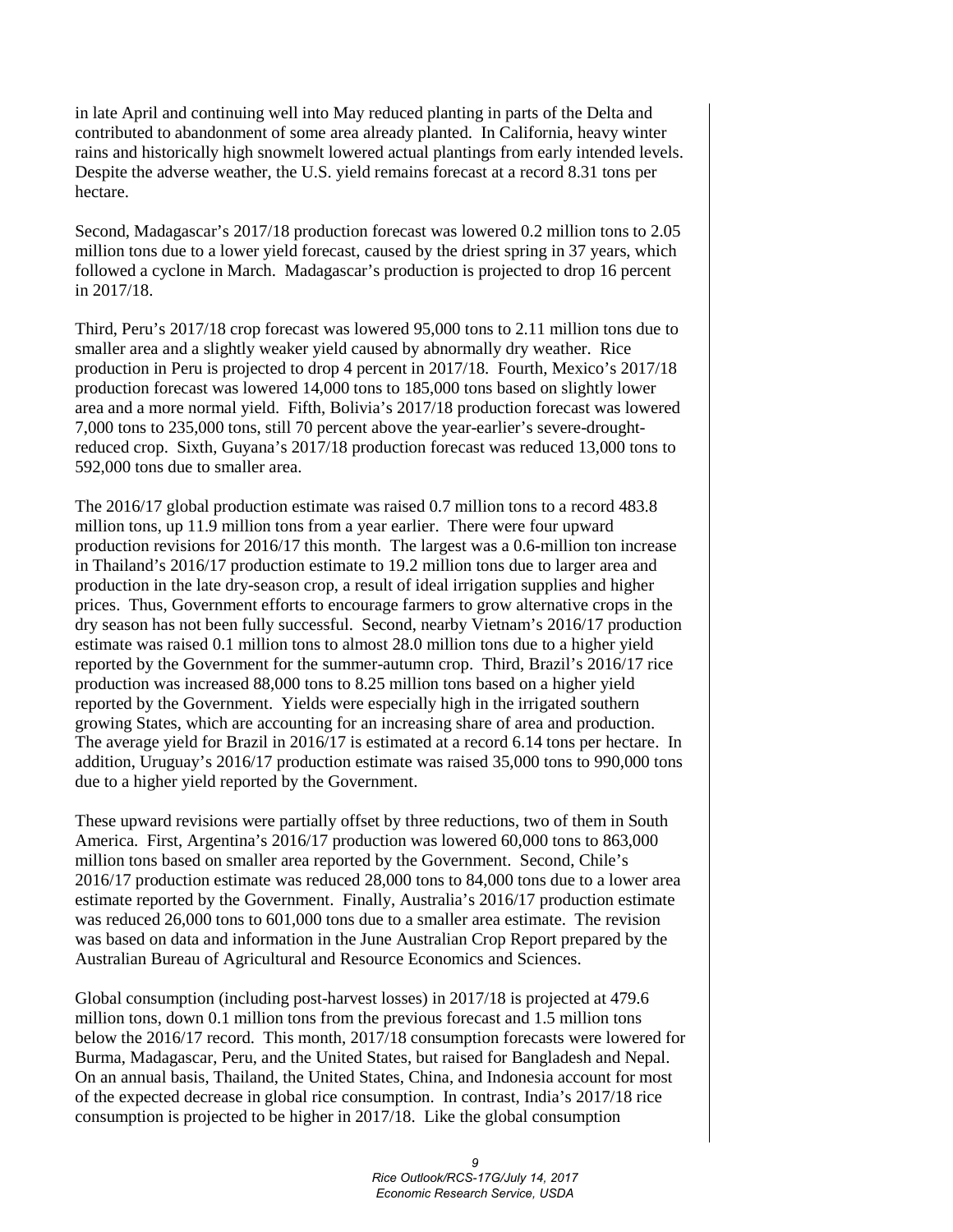in late April and continuing well into May reduced planting in parts of the Delta and contributed to abandonment of some area already planted. In California, heavy winter rains and historically high snowmelt lowered actual plantings from early intended levels. Despite the adverse weather, the U.S. yield remains forecast at a record 8.31 tons per hectare.

Second, Madagascar's 2017/18 production forecast was lowered 0.2 million tons to 2.05 million tons due to a lower yield forecast, caused by the driest spring in 37 years, which followed a cyclone in March. Madagascar's production is projected to drop 16 percent in 2017/18.

Third, Peru's 2017/18 crop forecast was lowered 95,000 tons to 2.11 million tons due to smaller area and a slightly weaker yield caused by abnormally dry weather. Rice production in Peru is projected to drop 4 percent in 2017/18. Fourth, Mexico's 2017/18 production forecast was lowered 14,000 tons to 185,000 tons based on slightly lower area and a more normal yield. Fifth, Bolivia's 2017/18 production forecast was lowered 7,000 tons to 235,000 tons, still 70 percent above the year-earlier's severe-droughtreduced crop. Sixth, Guyana's 2017/18 production forecast was reduced 13,000 tons to 592,000 tons due to smaller area.

The 2016/17 global production estimate was raised 0.7 million tons to a record 483.8 million tons, up 11.9 million tons from a year earlier. There were four upward production revisions for 2016/17 this month. The largest was a 0.6-million ton increase in Thailand's 2016/17 production estimate to 19.2 million tons due to larger area and production in the late dry-season crop, a result of ideal irrigation supplies and higher prices. Thus, Government efforts to encourage farmers to grow alternative crops in the dry season has not been fully successful. Second, nearby Vietnam's 2016/17 production estimate was raised 0.1 million tons to almost 28.0 million tons due to a higher yield reported by the Government for the summer-autumn crop. Third, Brazil's 2016/17 rice production was increased 88,000 tons to 8.25 million tons based on a higher yield reported by the Government. Yields were especially high in the irrigated southern growing States, which are accounting for an increasing share of area and production. The average yield for Brazil in 2016/17 is estimated at a record 6.14 tons per hectare. In addition, Uruguay's 2016/17 production estimate was raised 35,000 tons to 990,000 tons due to a higher yield reported by the Government.

These upward revisions were partially offset by three reductions, two of them in South America. First, Argentina's 2016/17 production was lowered 60,000 tons to 863,000 million tons based on smaller area reported by the Government. Second, Chile's 2016/17 production estimate was reduced 28,000 tons to 84,000 tons due to a lower area estimate reported by the Government. Finally, Australia's 2016/17 production estimate was reduced 26,000 tons to 601,000 tons due to a smaller area estimate. The revision was based on data and information in the June Australian Crop Report prepared by the Australian Bureau of Agricultural and Resource Economics and Sciences.

Global consumption (including post-harvest losses) in 2017/18 is projected at 479.6 million tons, down 0.1 million tons from the previous forecast and 1.5 million tons below the 2016/17 record. This month, 2017/18 consumption forecasts were lowered for Burma, Madagascar, Peru, and the United States, but raised for Bangladesh and Nepal. On an annual basis, Thailand, the United States, China, and Indonesia account for most of the expected decrease in global rice consumption. In contrast, India's 2017/18 rice consumption is projected to be higher in 2017/18. Like the global consumption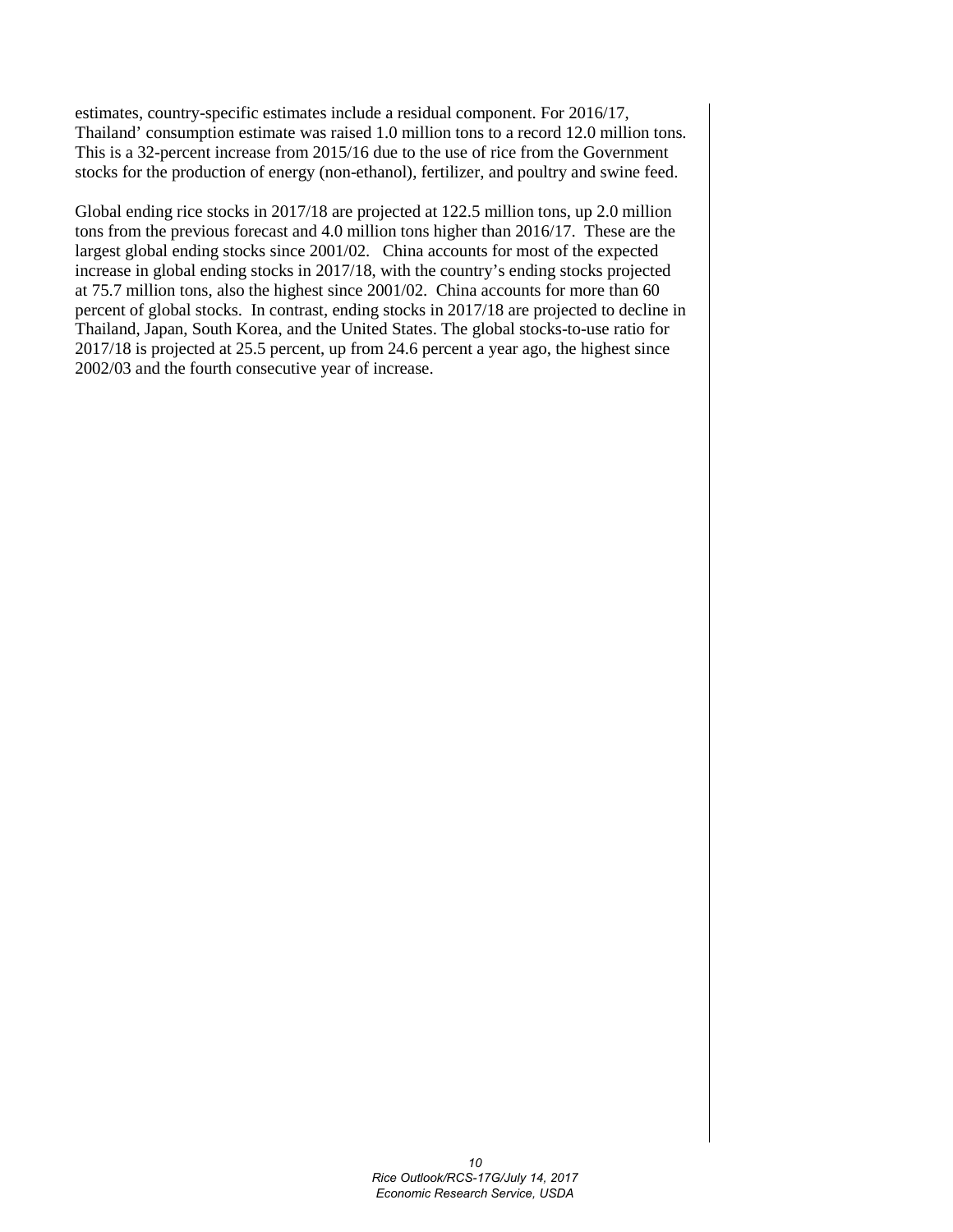estimates, country-specific estimates include a residual component. For 2016/17, Thailand' consumption estimate was raised 1.0 million tons to a record 12.0 million tons. This is a 32-percent increase from 2015/16 due to the use of rice from the Government stocks for the production of energy (non-ethanol), fertilizer, and poultry and swine feed.

Global ending rice stocks in 2017/18 are projected at 122.5 million tons, up 2.0 million tons from the previous forecast and 4.0 million tons higher than 2016/17. These are the largest global ending stocks since 2001/02. China accounts for most of the expected increase in global ending stocks in 2017/18, with the country's ending stocks projected at 75.7 million tons, also the highest since 2001/02. China accounts for more than 60 percent of global stocks. In contrast, ending stocks in 2017/18 are projected to decline in Thailand, Japan, South Korea, and the United States. The global stocks-to-use ratio for 2017/18 is projected at 25.5 percent, up from 24.6 percent a year ago, the highest since 2002/03 and the fourth consecutive year of increase.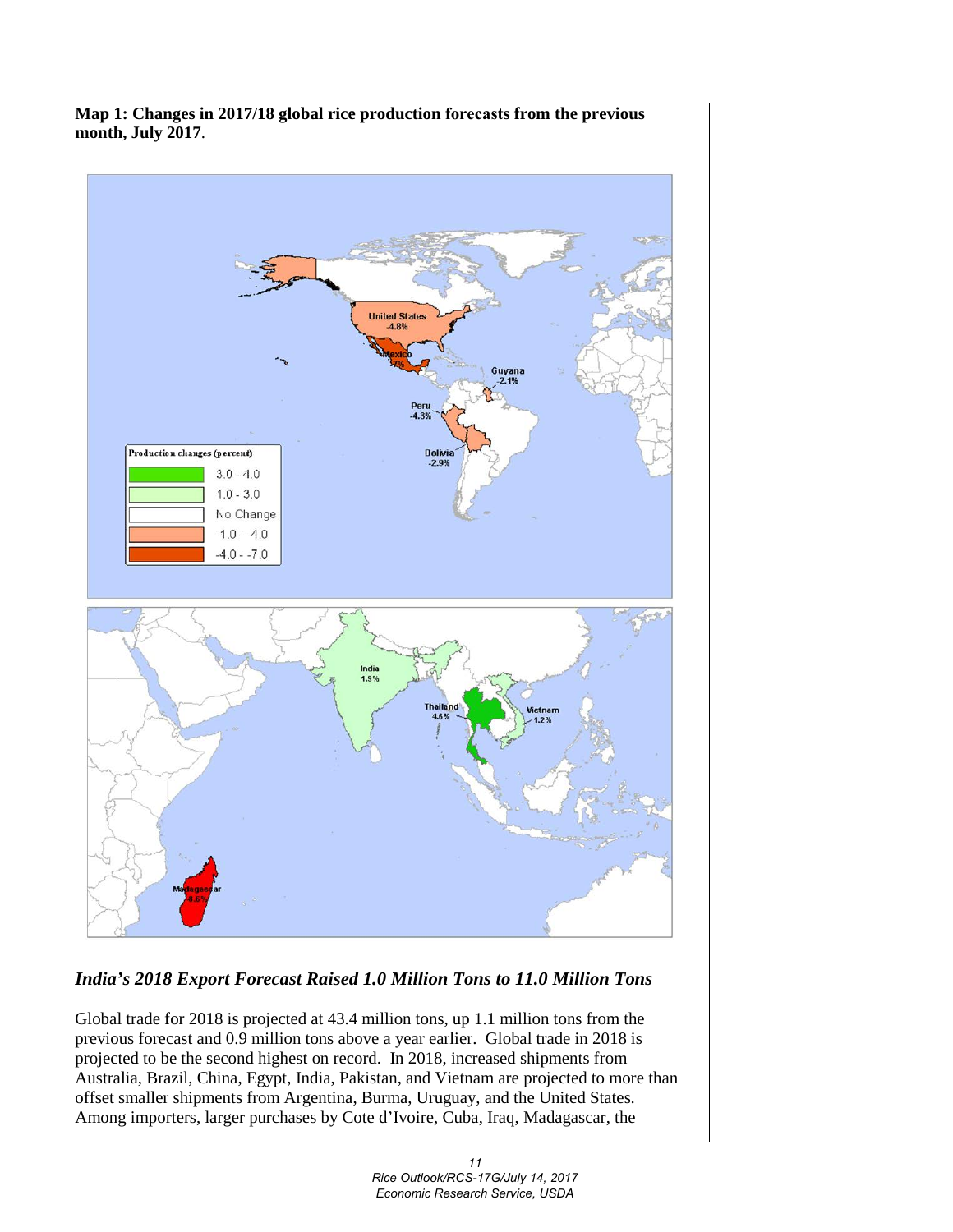**Map 1: Changes in 2017/18 global rice production forecasts from the previous month, July 2017**.



# *India's 2018 Export Forecast Raised 1.0 Million Tons to 11.0 Million Tons*

Global trade for 2018 is projected at 43.4 million tons, up 1.1 million tons from the previous forecast and 0.9 million tons above a year earlier. Global trade in 2018 is projected to be the second highest on record. In 2018, increased shipments from Australia, Brazil, China, Egypt, India, Pakistan, and Vietnam are projected to more than offset smaller shipments from Argentina, Burma, Uruguay, and the United States. Among importers, larger purchases by Cote d'Ivoire, Cuba, Iraq, Madagascar, the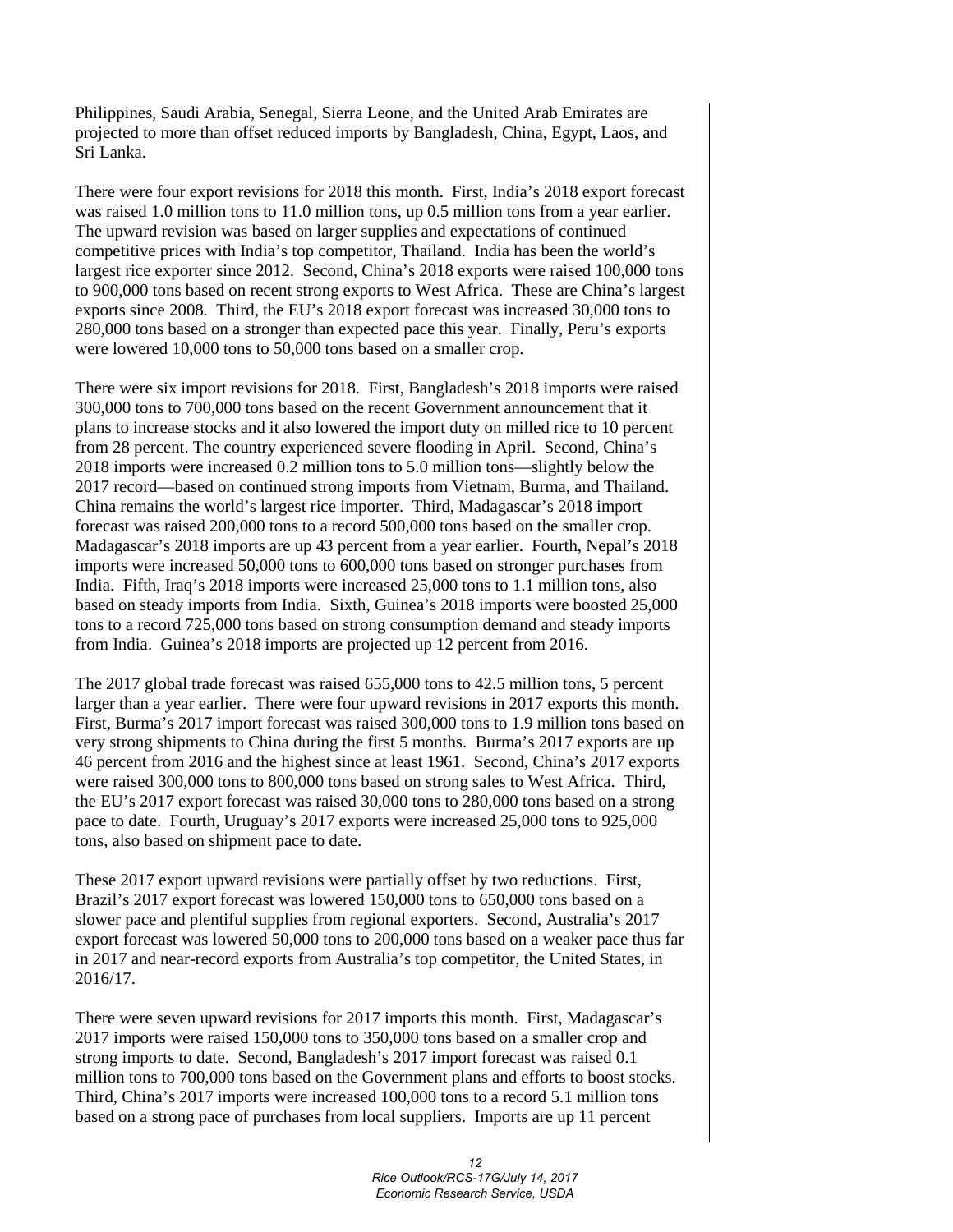Philippines, Saudi Arabia, Senegal, Sierra Leone, and the United Arab Emirates are projected to more than offset reduced imports by Bangladesh, China, Egypt, Laos, and Sri Lanka.

There were four export revisions for 2018 this month. First, India's 2018 export forecast was raised 1.0 million tons to 11.0 million tons, up 0.5 million tons from a year earlier. The upward revision was based on larger supplies and expectations of continued competitive prices with India's top competitor, Thailand. India has been the world's largest rice exporter since 2012. Second, China's 2018 exports were raised 100,000 tons to 900,000 tons based on recent strong exports to West Africa. These are China's largest exports since 2008. Third, the EU's 2018 export forecast was increased 30,000 tons to 280,000 tons based on a stronger than expected pace this year. Finally, Peru's exports were lowered 10,000 tons to 50,000 tons based on a smaller crop.

There were six import revisions for 2018. First, Bangladesh's 2018 imports were raised 300,000 tons to 700,000 tons based on the recent Government announcement that it plans to increase stocks and it also lowered the import duty on milled rice to 10 percent from 28 percent. The country experienced severe flooding in April. Second, China's 2018 imports were increased 0.2 million tons to 5.0 million tons—slightly below the 2017 record—based on continued strong imports from Vietnam, Burma, and Thailand. China remains the world's largest rice importer. Third, Madagascar's 2018 import forecast was raised 200,000 tons to a record 500,000 tons based on the smaller crop. Madagascar's 2018 imports are up 43 percent from a year earlier. Fourth, Nepal's 2018 imports were increased 50,000 tons to 600,000 tons based on stronger purchases from India. Fifth, Iraq's 2018 imports were increased 25,000 tons to 1.1 million tons, also based on steady imports from India. Sixth, Guinea's 2018 imports were boosted 25,000 tons to a record 725,000 tons based on strong consumption demand and steady imports from India. Guinea's 2018 imports are projected up 12 percent from 2016.

The 2017 global trade forecast was raised 655,000 tons to 42.5 million tons, 5 percent larger than a year earlier. There were four upward revisions in 2017 exports this month. First, Burma's 2017 import forecast was raised 300,000 tons to 1.9 million tons based on very strong shipments to China during the first 5 months. Burma's 2017 exports are up 46 percent from 2016 and the highest since at least 1961. Second, China's 2017 exports were raised 300,000 tons to 800,000 tons based on strong sales to West Africa. Third, the EU's 2017 export forecast was raised 30,000 tons to 280,000 tons based on a strong pace to date. Fourth, Uruguay's 2017 exports were increased 25,000 tons to 925,000 tons, also based on shipment pace to date.

These 2017 export upward revisions were partially offset by two reductions. First, Brazil's 2017 export forecast was lowered 150,000 tons to 650,000 tons based on a slower pace and plentiful supplies from regional exporters. Second, Australia's 2017 export forecast was lowered 50,000 tons to 200,000 tons based on a weaker pace thus far in 2017 and near-record exports from Australia's top competitor, the United States, in 2016/17.

There were seven upward revisions for 2017 imports this month. First, Madagascar's 2017 imports were raised 150,000 tons to 350,000 tons based on a smaller crop and strong imports to date. Second, Bangladesh's 2017 import forecast was raised 0.1 million tons to 700,000 tons based on the Government plans and efforts to boost stocks. Third, China's 2017 imports were increased 100,000 tons to a record 5.1 million tons based on a strong pace of purchases from local suppliers. Imports are up 11 percent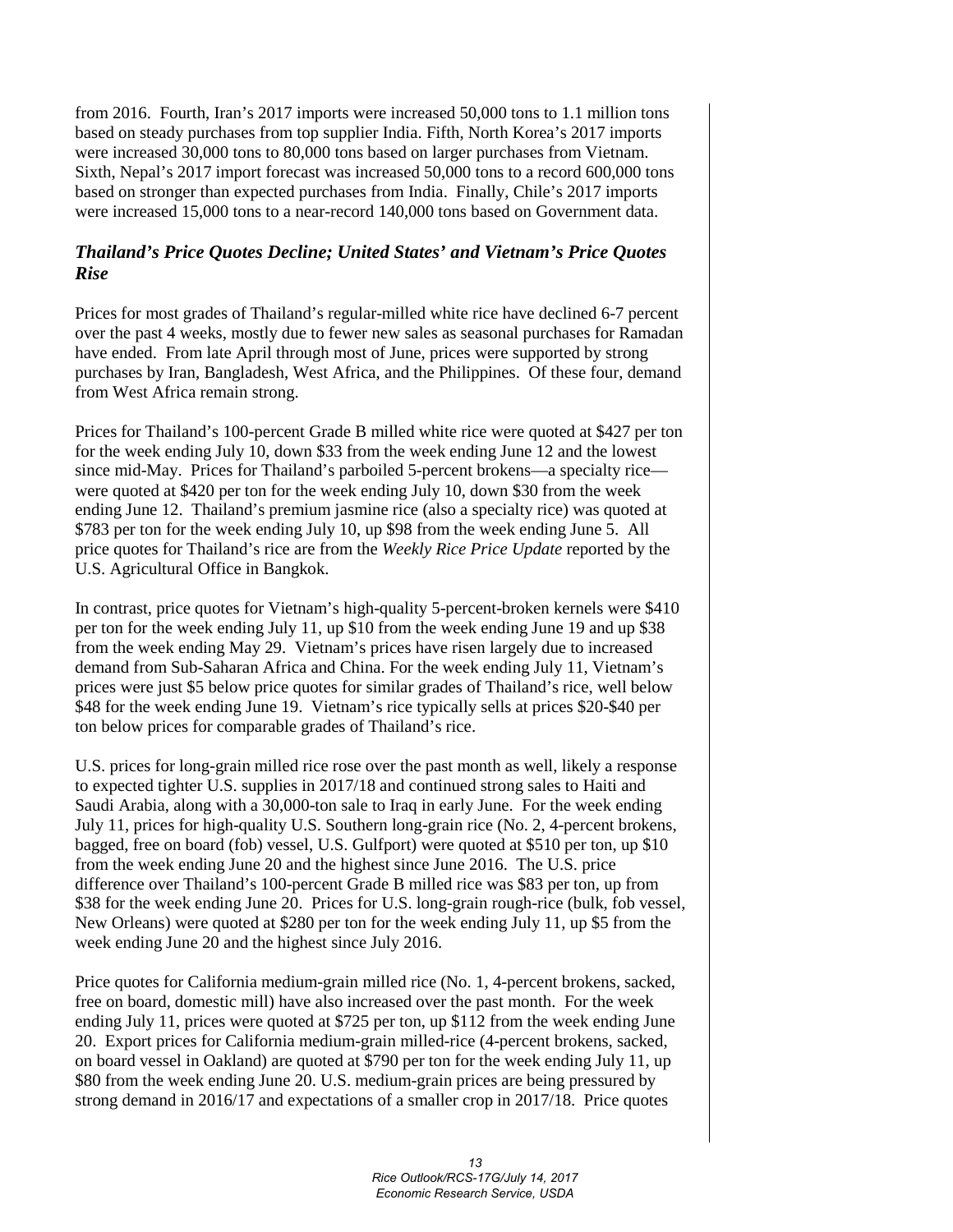from 2016. Fourth, Iran's 2017 imports were increased 50,000 tons to 1.1 million tons based on steady purchases from top supplier India. Fifth, North Korea's 2017 imports were increased 30,000 tons to 80,000 tons based on larger purchases from Vietnam. Sixth, Nepal's 2017 import forecast was increased 50,000 tons to a record 600,000 tons based on stronger than expected purchases from India. Finally, Chile's 2017 imports were increased 15,000 tons to a near-record 140,000 tons based on Government data.

# *Thailand's Price Quotes Decline; United States' and Vietnam's Price Quotes Rise*

Prices for most grades of Thailand's regular-milled white rice have declined 6-7 percent over the past 4 weeks, mostly due to fewer new sales as seasonal purchases for Ramadan have ended. From late April through most of June, prices were supported by strong purchases by Iran, Bangladesh, West Africa, and the Philippines. Of these four, demand from West Africa remain strong.

Prices for Thailand's 100-percent Grade B milled white rice were quoted at \$427 per ton for the week ending July 10, down \$33 from the week ending June 12 and the lowest since mid-May. Prices for Thailand's parboiled 5-percent brokens—a specialty rice were quoted at \$420 per ton for the week ending July 10, down \$30 from the week ending June 12. Thailand's premium jasmine rice (also a specialty rice) was quoted at \$783 per ton for the week ending July 10, up \$98 from the week ending June 5. All price quotes for Thailand's rice are from the *Weekly Rice Price Update* reported by the U.S. Agricultural Office in Bangkok.

In contrast, price quotes for Vietnam's high-quality 5-percent-broken kernels were \$410 per ton for the week ending July 11, up \$10 from the week ending June 19 and up \$38 from the week ending May 29. Vietnam's prices have risen largely due to increased demand from Sub-Saharan Africa and China. For the week ending July 11, Vietnam's prices were just \$5 below price quotes for similar grades of Thailand's rice, well below \$48 for the week ending June 19. Vietnam's rice typically sells at prices \$20-\$40 per ton below prices for comparable grades of Thailand's rice.

U.S. prices for long-grain milled rice rose over the past month as well, likely a response to expected tighter U.S. supplies in 2017/18 and continued strong sales to Haiti and Saudi Arabia, along with a 30,000-ton sale to Iraq in early June. For the week ending July 11, prices for high-quality U.S. Southern long-grain rice (No. 2, 4-percent brokens, bagged, free on board (fob) vessel, U.S. Gulfport) were quoted at \$510 per ton, up \$10 from the week ending June 20 and the highest since June 2016. The U.S. price difference over Thailand's 100-percent Grade B milled rice was \$83 per ton, up from \$38 for the week ending June 20. Prices for U.S. long-grain rough-rice (bulk, fob vessel, New Orleans) were quoted at \$280 per ton for the week ending July 11, up \$5 from the week ending June 20 and the highest since July 2016.

Price quotes for California medium-grain milled rice (No. 1, 4-percent brokens, sacked, free on board, domestic mill) have also increased over the past month. For the week ending July 11, prices were quoted at \$725 per ton, up \$112 from the week ending June 20. Export prices for California medium-grain milled-rice (4-percent brokens, sacked, on board vessel in Oakland) are quoted at \$790 per ton for the week ending July 11, up \$80 from the week ending June 20. U.S. medium-grain prices are being pressured by strong demand in 2016/17 and expectations of a smaller crop in 2017/18. Price quotes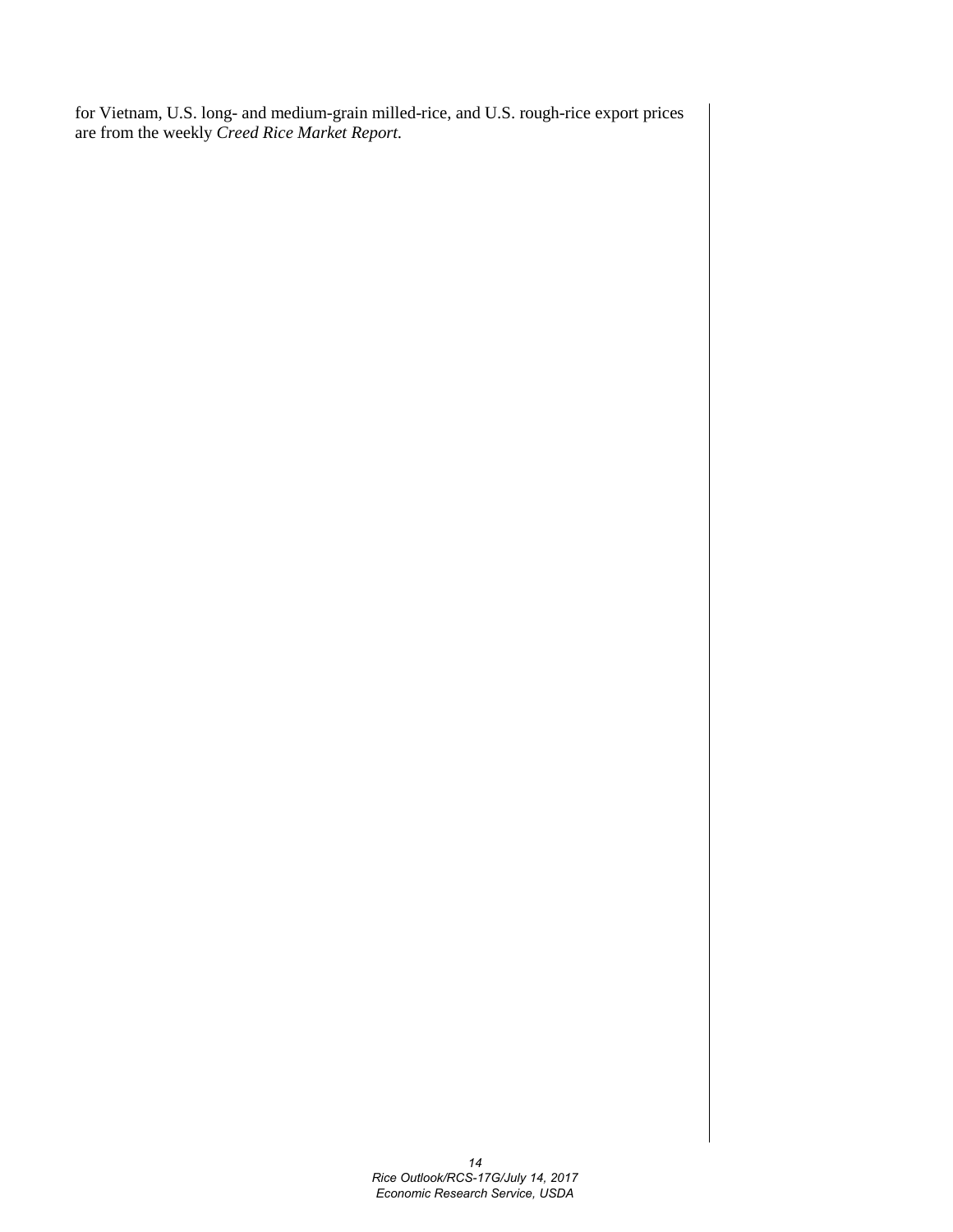for Vietnam, U.S. long- and medium-grain milled-rice, and U.S. rough-rice export prices are from the weekly *Creed Rice Market Report.*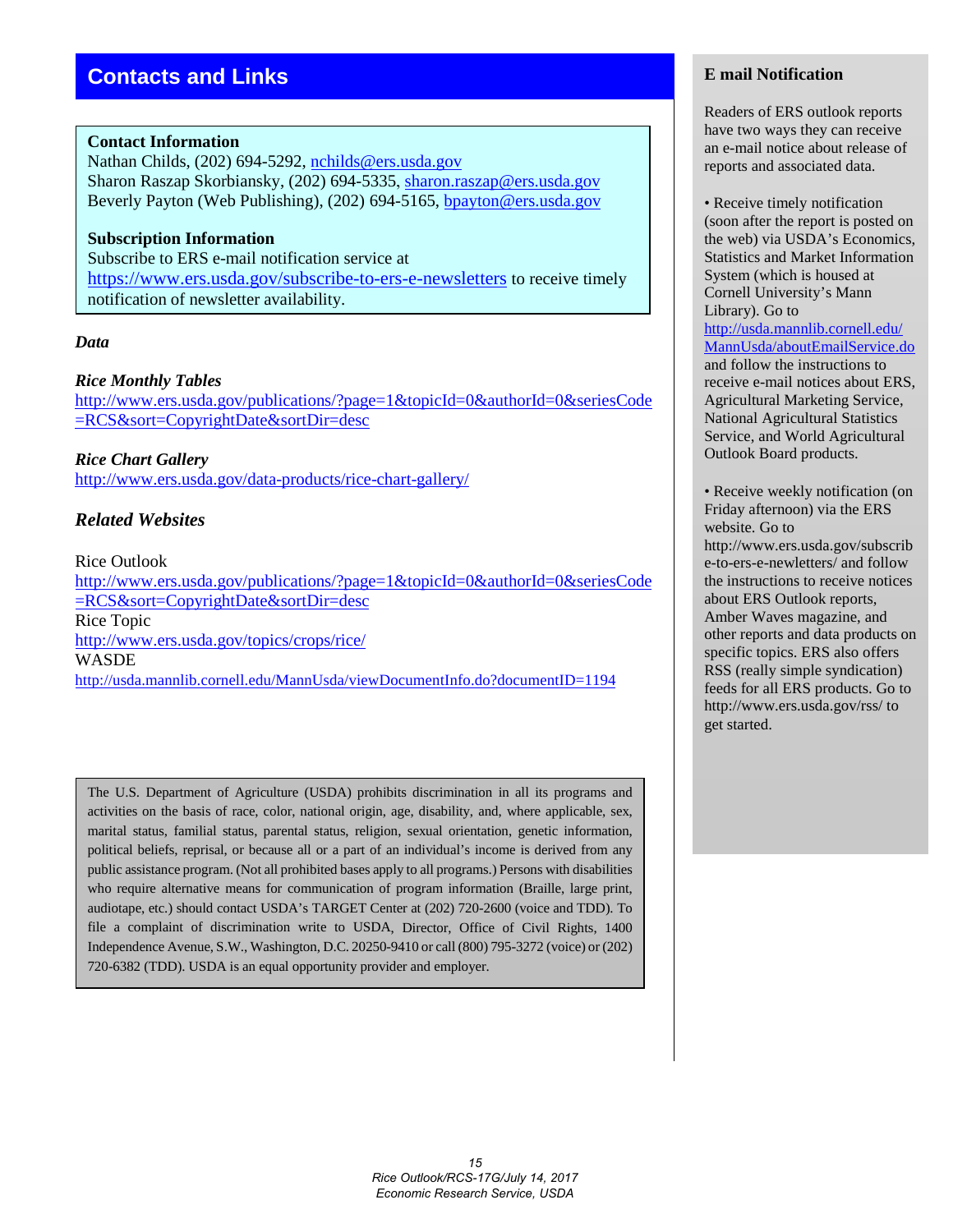#### **Contact Information**

Nathan Childs, (202) 694-5292, [nchilds@ers.usda.gov](mailto:nchilds@ers.usda.gov) Sharon Raszap Skorbiansky, (202) 694-5335, [sharon.raszap@ers.usda.gov](mailto:sharon.raszap@ers.usda.gov) Beverly Payton (Web Publishing), (202) 694-5165, [bpayton@ers.usda.gov](mailto:bpayton@ers.usda.gov)

#### **Subscription Information**

Subscribe to ERS e-mail notification service at <https://www.ers.usda.gov/subscribe-to-ers-e-newsletters> to receive timely notification of newsletter availability.

#### *Data*

#### *Rice Monthly Tables*

[http://www.ers.usda.gov/publications/?page=1&topicId=0&authorId=0&seriesCode](http://www.ers.usda.gov/publications/?page=1&topicId=0&authorId=0&seriesCode=RCS&sort=CopyrightDate&sortDir=desc) [=RCS&sort=CopyrightDate&sortDir=desc](http://www.ers.usda.gov/publications/?page=1&topicId=0&authorId=0&seriesCode=RCS&sort=CopyrightDate&sortDir=desc)

*Rice Chart Gallery*  <http://www.ers.usda.gov/data-products/rice-chart-gallery/>

#### *Related Websites*

Rice Outlook

[http://www.ers.usda.gov/publications/?page=1&topicId=0&authorId=0&seriesCode](http://www.ers.usda.gov/publications/?page=1&topicId=0&authorId=0&seriesCode=RCS&sort=CopyrightDate&sortDir=desc) [=RCS&sort=CopyrightDate&sortDir=desc](http://www.ers.usda.gov/publications/?page=1&topicId=0&authorId=0&seriesCode=RCS&sort=CopyrightDate&sortDir=desc) Rice Topic <http://www.ers.usda.gov/topics/crops/rice/> WASDE <http://usda.mannlib.cornell.edu/MannUsda/viewDocumentInfo.do?documentID=1194>

The U.S. Department of Agriculture (USDA) prohibits discrimination in all its programs and activities on the basis of race, color, national origin, age, disability, and, where applicable, sex, marital status, familial status, parental status, religion, sexual orientation, genetic information, political beliefs, reprisal, or because all or a part of an individual's income is derived from any public assistance program. (Not all prohibited bases apply to all programs.) Persons with disabilities who require alternative means for communication of program information (Braille, large print, audiotape, etc.) should contact USDA's TARGET Center at (202) 720-2600 (voice and TDD). To file a complaint of discrimination write to USDA, Director, Office of Civil Rights, 1400 Independence Avenue, S.W., Washington, D.C. 20250-9410 or call (800) 795-3272 (voice) or (202) 720-6382 (TDD). USDA is an equal opportunity provider and employer.

#### **E mail Notification**

Readers of ERS outlook reports have two ways they can receive an e-mail notice about release of reports and associated data.

• Receive timely notification (soon after the report is posted on the web) via USDA's Economics, Statistics and Market Information System (which is housed at Cornell University's Mann Library). Go to [http://usda.mannlib.cornell.edu/](http://usda.mannlib.cornell.edu/MannUsda/aboutEmailService.do) [MannUsda/aboutEmailService.do](http://usda.mannlib.cornell.edu/MannUsda/aboutEmailService.do) and follow the instructions to receive e-mail notices about ERS, Agricultural Marketing Service, National Agricultural Statistics Service, and World Agricultural Outlook Board products.

• Receive weekly notification (on Friday afternoon) via the ERS website. Go to

http://www.ers.usda.gov/subscrib e-to-ers-e-newletters/ and follow the instructions to receive notices about ERS Outlook reports, Amber Waves magazine, and other reports and data products on specific topics. ERS also offers RSS (really simple syndication) feeds for all ERS products. Go to http://www.ers.usda.gov/rss/ to get started.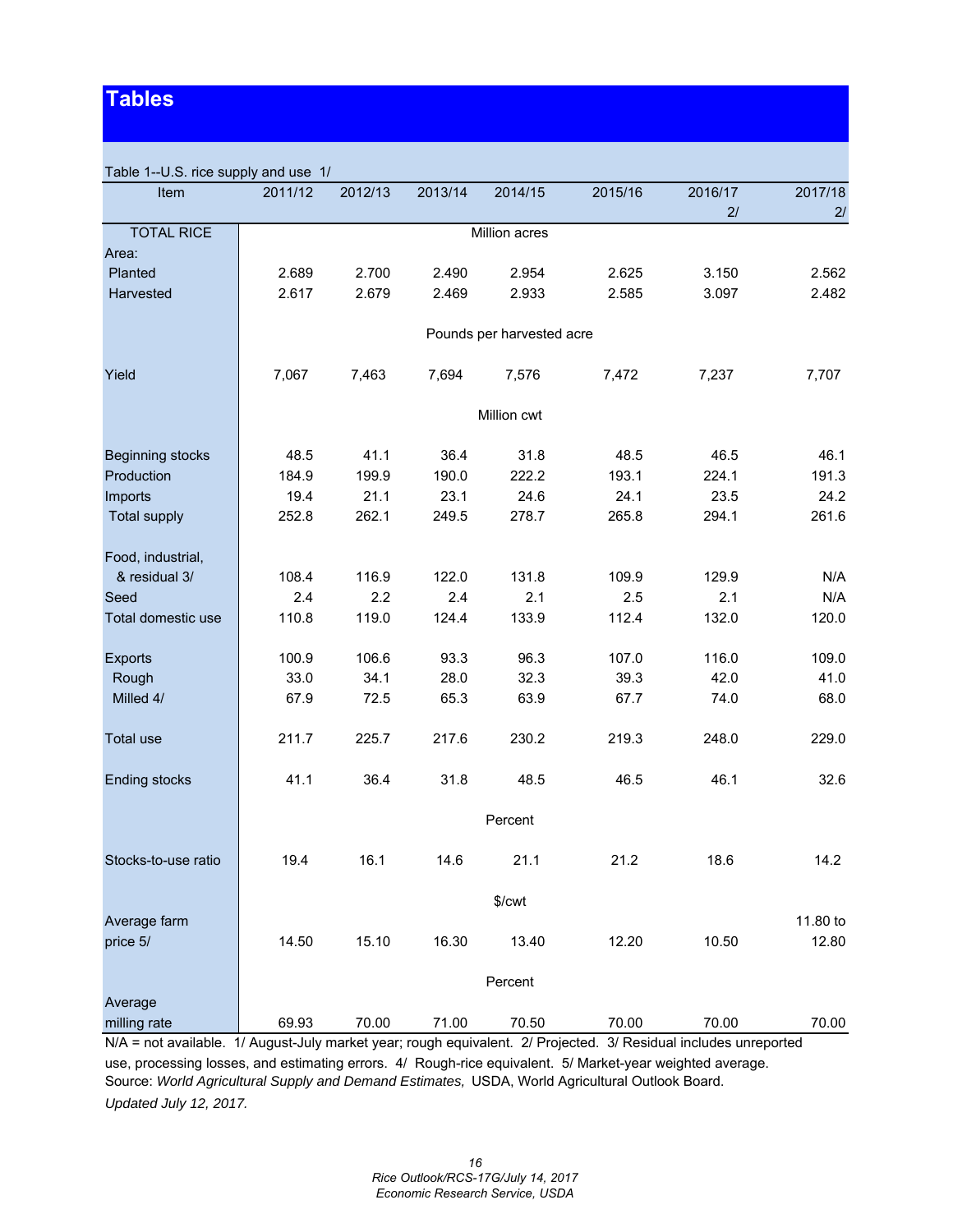# **Tables**

| Table 1--U.S. rice supply and use 1/ |         |         |         |                           |         |         |          |
|--------------------------------------|---------|---------|---------|---------------------------|---------|---------|----------|
| Item                                 | 2011/12 | 2012/13 | 2013/14 | 2014/15                   | 2015/16 | 2016/17 | 2017/18  |
|                                      |         |         |         |                           |         | 2/      | 2/       |
| <b>TOTAL RICE</b>                    |         |         |         | Million acres             |         |         |          |
| Area:                                |         |         |         |                           |         |         |          |
| Planted                              | 2.689   | 2.700   | 2.490   | 2.954                     | 2.625   | 3.150   | 2.562    |
| Harvested                            | 2.617   | 2.679   | 2.469   | 2.933                     | 2.585   | 3.097   | 2.482    |
|                                      |         |         |         | Pounds per harvested acre |         |         |          |
| Yield                                | 7,067   | 7,463   | 7,694   | 7,576                     | 7,472   | 7,237   | 7,707    |
|                                      |         |         |         | Million cwt               |         |         |          |
| <b>Beginning stocks</b>              | 48.5    | 41.1    | 36.4    | 31.8                      | 48.5    | 46.5    | 46.1     |
| Production                           | 184.9   | 199.9   | 190.0   | 222.2                     | 193.1   | 224.1   | 191.3    |
| Imports                              | 19.4    | 21.1    | 23.1    | 24.6                      | 24.1    | 23.5    | 24.2     |
| <b>Total supply</b>                  | 252.8   | 262.1   | 249.5   | 278.7                     | 265.8   | 294.1   | 261.6    |
|                                      |         |         |         |                           |         |         |          |
| Food, industrial,                    |         |         |         |                           |         |         |          |
| & residual 3/                        | 108.4   | 116.9   | 122.0   | 131.8                     | 109.9   | 129.9   | N/A      |
| Seed                                 | 2.4     | 2.2     | 2.4     | 2.1                       | 2.5     | 2.1     | N/A      |
| Total domestic use                   | 110.8   | 119.0   | 124.4   | 133.9                     | 112.4   | 132.0   | 120.0    |
|                                      |         |         |         |                           |         |         |          |
| <b>Exports</b>                       | 100.9   | 106.6   | 93.3    | 96.3                      | 107.0   | 116.0   | 109.0    |
| Rough                                | 33.0    | 34.1    | 28.0    | 32.3                      | 39.3    | 42.0    | 41.0     |
| Milled 4/                            | 67.9    | 72.5    | 65.3    | 63.9                      | 67.7    | 74.0    | 68.0     |
|                                      |         |         |         |                           |         |         |          |
| Total use                            | 211.7   | 225.7   | 217.6   | 230.2                     | 219.3   | 248.0   | 229.0    |
|                                      |         |         |         |                           |         |         |          |
| <b>Ending stocks</b>                 | 41.1    | 36.4    | 31.8    | 48.5                      | 46.5    | 46.1    | 32.6     |
|                                      |         |         |         | Percent                   |         |         |          |
|                                      |         |         |         |                           |         |         |          |
| Stocks-to-use ratio                  | 19.4    | 16.1    | 14.6    | 21.1                      | 21.2    | 18.6    | 14.2     |
|                                      |         |         |         | \$/cwt                    |         |         |          |
| Average farm                         |         |         |         |                           |         |         | 11.80 to |
| price 5/                             | 14.50   | 15.10   | 16.30   | 13.40                     | 12.20   | 10.50   | 12.80    |
|                                      |         |         |         |                           |         |         |          |
|                                      |         |         |         | Percent                   |         |         |          |
| Average                              |         |         |         |                           |         |         |          |
| milling rate                         | 69.93   | 70.00   | 71.00   | 70.50                     | 70.00   | 70.00   | 70.00    |

N/A = not available. 1/ August-July market year; rough equivalent. 2/ Projected. 3/ Residual includes unreported

use, processing losses, and estimating errors. 4/ Rough-rice equivalent. 5/ Market-year weighted average. Source: *World Agricultural Supply and Demand Estimates,* USDA, World Agricultural Outlook Board. *Updated July 12, 2017.*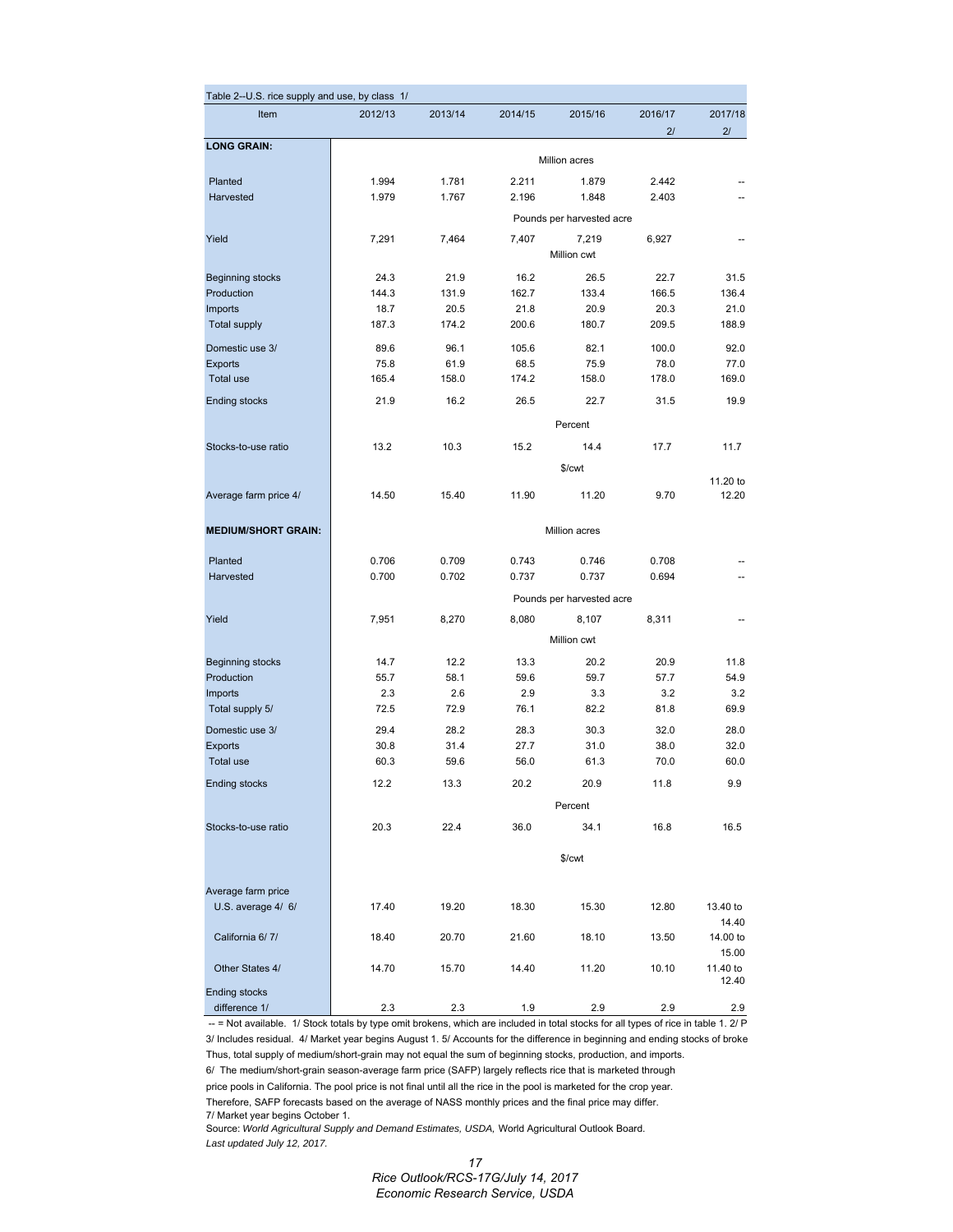| Table 2--U.S. rice supply and use, by class 1/                                                                                      |                      |         |         |                           |               |                   |  |  |  |
|-------------------------------------------------------------------------------------------------------------------------------------|----------------------|---------|---------|---------------------------|---------------|-------------------|--|--|--|
| Item                                                                                                                                | 2012/13              | 2013/14 | 2014/15 | 2015/16                   | 2016/17<br>21 | 2017/18<br>21     |  |  |  |
| <b>LONG GRAIN:</b>                                                                                                                  |                      |         |         | <b>Million acres</b>      |               |                   |  |  |  |
| Planted                                                                                                                             | 1.994                | 1.781   | 2.211   | 1.879                     | 2.442         |                   |  |  |  |
| Harvested                                                                                                                           | 1.979                | 1.767   | 2.196   | 1.848                     | 2.403         |                   |  |  |  |
|                                                                                                                                     |                      |         |         | Pounds per harvested acre |               |                   |  |  |  |
| Yield                                                                                                                               | 7,291                | 7,464   | 7,407   | 7,219                     | 6,927         |                   |  |  |  |
|                                                                                                                                     |                      |         |         | Million cwt               |               |                   |  |  |  |
| <b>Beginning stocks</b>                                                                                                             | 24.3                 | 21.9    | 16.2    | 26.5                      | 22.7          | 31.5              |  |  |  |
| Production                                                                                                                          | 144.3                | 131.9   | 162.7   | 133.4                     | 166.5         | 136.4             |  |  |  |
| Imports                                                                                                                             | 18.7                 | 20.5    | 21.8    | 20.9                      | 20.3          | 21.0              |  |  |  |
| <b>Total supply</b>                                                                                                                 | 187.3                | 174.2   | 200.6   | 180.7                     | 209.5         | 188.9             |  |  |  |
| Domestic use 3/                                                                                                                     | 89.6                 | 96.1    | 105.6   | 82.1                      | 100.0         | 92.0              |  |  |  |
| <b>Exports</b>                                                                                                                      | 75.8                 | 61.9    | 68.5    | 75.9                      | 78.0          | 77.0              |  |  |  |
| <b>Total use</b>                                                                                                                    | 165.4                | 158.0   | 174.2   | 158.0                     | 178.0         | 169.0             |  |  |  |
| <b>Ending stocks</b>                                                                                                                | 21.9                 | 16.2    | 26.5    | 22.7                      | 31.5          | 19.9              |  |  |  |
|                                                                                                                                     |                      |         |         | Percent                   |               |                   |  |  |  |
| Stocks-to-use ratio                                                                                                                 | 13.2                 | 10.3    | 15.2    | 14.4                      | 17.7          | 11.7              |  |  |  |
|                                                                                                                                     |                      |         |         | \$/cwt                    |               |                   |  |  |  |
| Average farm price 4/                                                                                                               | 14.50                | 15.40   | 11.90   | 11.20                     | 9.70          | 11.20 to<br>12.20 |  |  |  |
|                                                                                                                                     |                      |         |         |                           |               |                   |  |  |  |
| <b>MEDIUM/SHORT GRAIN:</b>                                                                                                          | <b>Million acres</b> |         |         |                           |               |                   |  |  |  |
| Planted                                                                                                                             | 0.706                | 0.709   | 0.743   | 0.746                     | 0.708         |                   |  |  |  |
| Harvested                                                                                                                           | 0.700                | 0.702   | 0.737   | 0.737                     | 0.694         |                   |  |  |  |
|                                                                                                                                     |                      |         |         | Pounds per harvested acre |               |                   |  |  |  |
| Yield                                                                                                                               | 7,951                | 8,270   | 8,080   | 8,107                     | 8,311         |                   |  |  |  |
|                                                                                                                                     |                      |         |         | Million cwt               |               |                   |  |  |  |
| <b>Beginning stocks</b>                                                                                                             | 14.7                 | 12.2    | 13.3    | 20.2                      | 20.9          | 11.8              |  |  |  |
| Production                                                                                                                          | 55.7                 | 58.1    | 59.6    | 59.7                      | 57.7          | 54.9              |  |  |  |
| Imports                                                                                                                             | 2.3                  | 2.6     | 2.9     | 3.3                       | 3.2           | 3.2               |  |  |  |
| Total supply 5/                                                                                                                     | 72.5                 | 72.9    | 76.1    | 82.2                      | 81.8          | 69.9              |  |  |  |
| Domestic use 3/                                                                                                                     | 29.4                 | 28.2    | 28.3    | 30.3                      | 32.0          | 28.0              |  |  |  |
| <b>Exports</b>                                                                                                                      | 30.8                 | 31.4    | 27.7    | 31.0                      | 38.0          | 32.0              |  |  |  |
| Total use                                                                                                                           | 60.3                 | 59.6    | 56.0    | 61.3                      | 70.0          | 60.0              |  |  |  |
| <b>Ending stocks</b>                                                                                                                | 12.2                 | 13.3    | 20.2    | 20.9                      | 11.8          | 9.9               |  |  |  |
|                                                                                                                                     |                      |         |         | Percent                   |               |                   |  |  |  |
| Stocks-to-use ratio                                                                                                                 | 20.3                 | 22.4    | 36.0    | 34.1                      | 16.8          | 16.5              |  |  |  |
|                                                                                                                                     |                      |         |         | \$/cwt                    |               |                   |  |  |  |
|                                                                                                                                     |                      |         |         |                           |               |                   |  |  |  |
| Average farm price<br>U.S. average 4/ 6/                                                                                            | 17.40                | 19.20   | 18.30   | 15.30                     | 12.80         | 13.40 to          |  |  |  |
|                                                                                                                                     |                      |         |         |                           |               | 14.40             |  |  |  |
| California 6/7/                                                                                                                     | 18.40                | 20.70   | 21.60   | 18.10                     | 13.50         | 14.00 to          |  |  |  |
|                                                                                                                                     |                      |         |         |                           |               | 15.00             |  |  |  |
| Other States 4/                                                                                                                     | 14.70                | 15.70   | 14.40   | 11.20                     | 10.10         | 11.40 to          |  |  |  |
| <b>Ending stocks</b>                                                                                                                |                      |         |         |                           |               | 12.40             |  |  |  |
| difference 1/                                                                                                                       | 2.3                  | 2.3     | 1.9     | 2.9                       | 2.9           | 2.9               |  |  |  |
| -- = Not available. 1/ Stock totals by type omit brokens, which are included in total stocks for all types of rice in table 1. 2/ P |                      |         |         |                           |               |                   |  |  |  |

3/ Includes residual. 4/ Market year begins August 1. 5/ Accounts for the difference in beginning and ending stocks of broke Thus, total supply of medium/short-grain may not equal the sum of beginning stocks, production, and imports. 6/ The medium/short-grain season-average farm price (SAFP) largely reflects rice that is marketed through

price pools in California. The pool price is not final until all the rice in the pool is marketed for the crop year. Therefore, SAFP forecasts based on the average of NASS monthly prices and the final price may differ.

7/ Market year begins October 1.

Source: *World Agricultural Supply and Demand Estimates, USDA,* World Agricultural Outlook Board. *Last updated July 12, 2017.*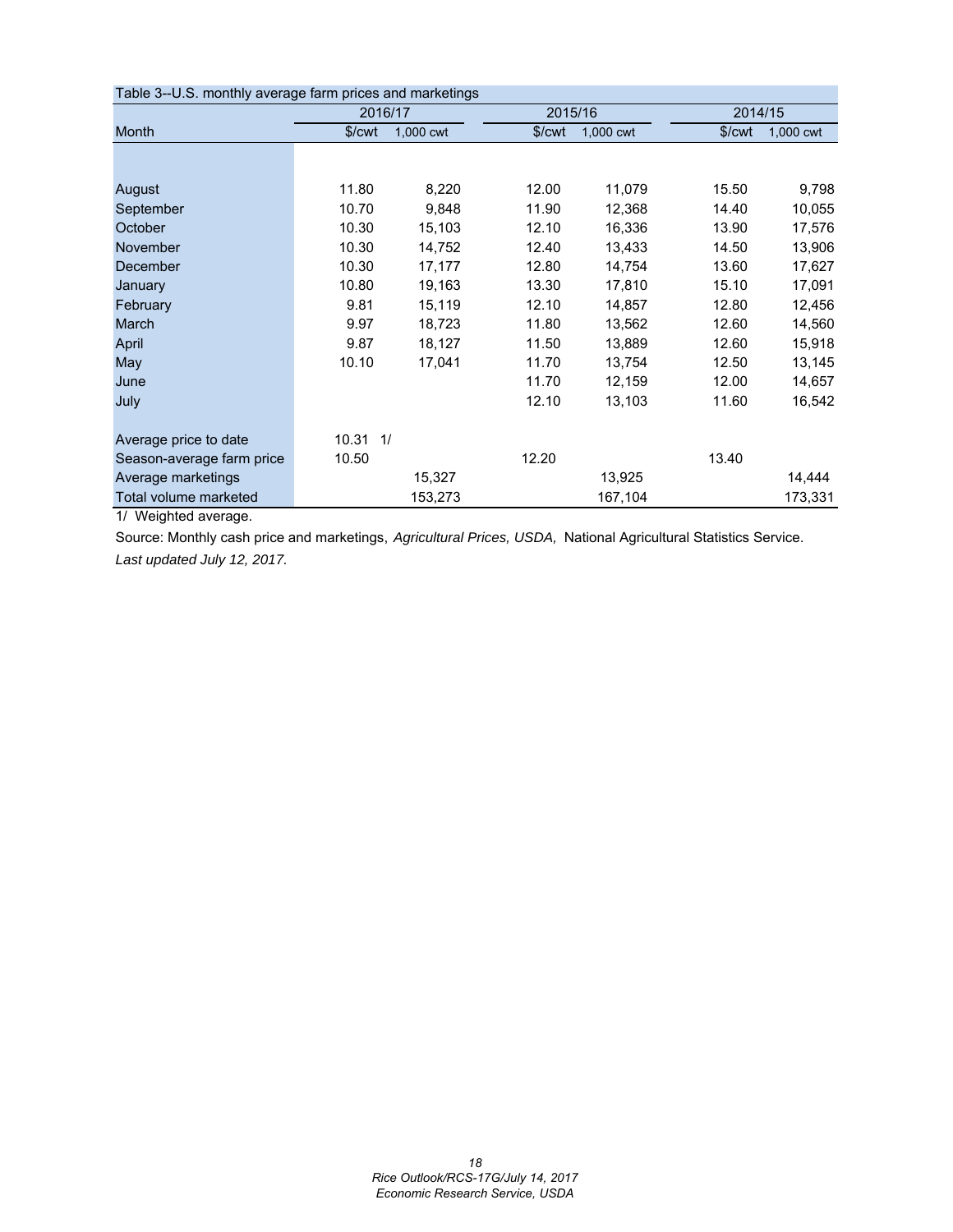| Table 3--U.S. monthly average farm prices and marketings |                    |           |                    |           |                    |           |
|----------------------------------------------------------|--------------------|-----------|--------------------|-----------|--------------------|-----------|
|                                                          | 2016/17            |           | 2015/16            |           | 2014/15            |           |
| Month                                                    | \$/ <sub>cut</sub> | 1,000 cwt | \$/ <sub>cut</sub> | 1,000 cwt | \$/ <sub>cut</sub> | 1,000 cwt |
|                                                          |                    |           |                    |           |                    |           |
| August                                                   | 11.80              | 8,220     | 12.00              | 11,079    | 15.50              | 9,798     |
| September                                                | 10.70              | 9,848     | 11.90              | 12,368    | 14.40              | 10,055    |
| October                                                  | 10.30              | 15,103    | 12.10              | 16,336    | 13.90              | 17,576    |
| November                                                 | 10.30              | 14,752    | 12.40              | 13,433    | 14.50              | 13,906    |
| December                                                 | 10.30              | 17,177    | 12.80              | 14,754    | 13.60              | 17,627    |
| January                                                  | 10.80              | 19,163    | 13.30              | 17,810    | 15.10              | 17,091    |
| February                                                 | 9.81               | 15,119    | 12.10              | 14,857    | 12.80              | 12,456    |
| March                                                    | 9.97               | 18,723    | 11.80              | 13,562    | 12.60              | 14,560    |
| April                                                    | 9.87               | 18,127    | 11.50              | 13,889    | 12.60              | 15,918    |
| May                                                      | 10.10              | 17,041    | 11.70              | 13,754    | 12.50              | 13,145    |
| June                                                     |                    |           | 11.70              | 12,159    | 12.00              | 14,657    |
| July                                                     |                    |           | 12.10              | 13,103    | 11.60              | 16,542    |
| Average price to date                                    | $10.31$ $1/$       |           |                    |           |                    |           |
| Season-average farm price                                | 10.50              |           | 12.20              |           | 13.40              |           |
| Average marketings                                       |                    | 15,327    |                    | 13,925    |                    | 14,444    |
| Total volume marketed                                    |                    | 153,273   |                    | 167,104   |                    | 173,331   |

1/ Weighted average.

Source: Monthly cash price and marketings, *Agricultural Prices, USDA,* National Agricultural Statistics Service. *Last updated July 12, 2017.*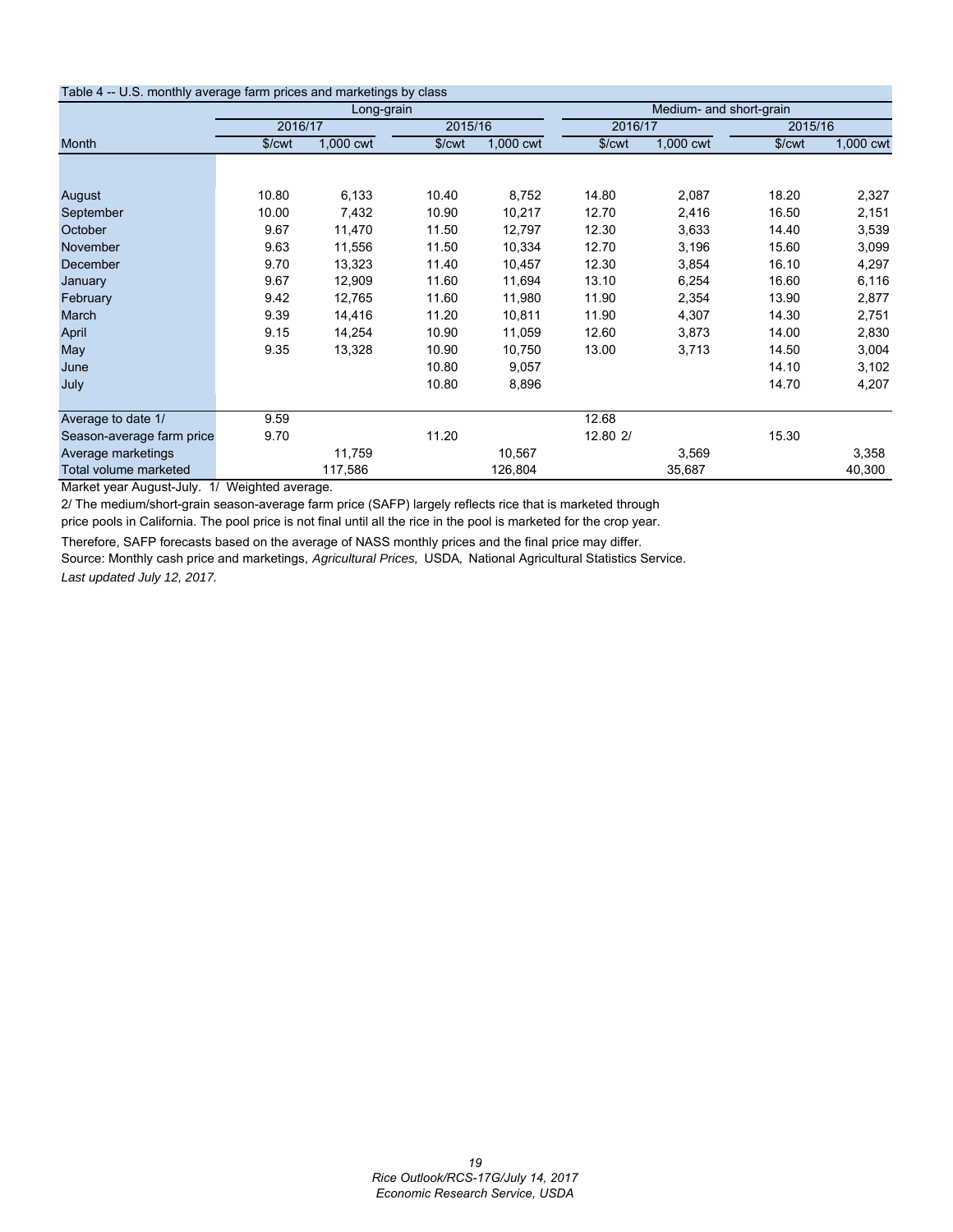| Table 4 -- U.S. monthly average farm prices and marketings by class |                    |            |        |           |                    |                         |                    |           |  |  |
|---------------------------------------------------------------------|--------------------|------------|--------|-----------|--------------------|-------------------------|--------------------|-----------|--|--|
|                                                                     |                    | Long-grain |        |           |                    | Medium- and short-grain |                    |           |  |  |
|                                                                     | 2016/17            |            |        | 2015/16   |                    | 2016/17                 | 2015/16            |           |  |  |
| Month                                                               | \$/ <sub>cut</sub> | 1,000 cwt  | \$/cwt | 1,000 cwt | \$/ <sub>cut</sub> | 1,000 cwt               | \$/ <sub>cut</sub> | 1,000 cwt |  |  |
|                                                                     |                    |            |        |           |                    |                         |                    |           |  |  |
| August                                                              | 10.80              | 6,133      | 10.40  | 8,752     | 14.80              | 2,087                   | 18.20              | 2,327     |  |  |
| September                                                           | 10.00              | 7,432      | 10.90  | 10,217    | 12.70              | 2,416                   | 16.50              | 2,151     |  |  |
| October                                                             | 9.67               | 11,470     | 11.50  | 12,797    | 12.30              | 3,633                   | 14.40              | 3,539     |  |  |
| November                                                            | 9.63               | 11,556     | 11.50  | 10,334    | 12.70              | 3,196                   | 15.60              | 3,099     |  |  |
| December                                                            | 9.70               | 13,323     | 11.40  | 10,457    | 12.30              | 3,854                   | 16.10              | 4,297     |  |  |
| January                                                             | 9.67               | 12,909     | 11.60  | 11,694    | 13.10              | 6,254                   | 16.60              | 6,116     |  |  |
| February                                                            | 9.42               | 12,765     | 11.60  | 11,980    | 11.90              | 2,354                   | 13.90              | 2,877     |  |  |
| March                                                               | 9.39               | 14,416     | 11.20  | 10,811    | 11.90              | 4,307                   | 14.30              | 2,751     |  |  |
| April                                                               | 9.15               | 14,254     | 10.90  | 11,059    | 12.60              | 3,873                   | 14.00              | 2,830     |  |  |
| May                                                                 | 9.35               | 13,328     | 10.90  | 10,750    | 13.00              | 3,713                   | 14.50              | 3,004     |  |  |
| June                                                                |                    |            | 10.80  | 9,057     |                    |                         | 14.10              | 3,102     |  |  |
| July                                                                |                    |            | 10.80  | 8,896     |                    |                         | 14.70              | 4,207     |  |  |
| Average to date 1/                                                  | 9.59               |            |        |           | 12.68              |                         |                    |           |  |  |
| Season-average farm price                                           | 9.70               |            | 11.20  |           | 12.80 2/           |                         | 15.30              |           |  |  |
| Average marketings                                                  |                    | 11,759     |        | 10,567    |                    | 3,569                   |                    | 3,358     |  |  |
| Total volume marketed                                               |                    | 117,586    |        | 126,804   |                    | 35,687                  |                    | 40,300    |  |  |

Market year August-July. 1/ Weighted average.

2/ The medium/short-grain season-average farm price (SAFP) largely reflects rice that is marketed through

price pools in California. The pool price is not final until all the rice in the pool is marketed for the crop year.

Therefore, SAFP forecasts based on the average of NASS monthly prices and the final price may differ.

Source: Monthly cash price and marketings, *Agricultural Prices,* USDA*,* National Agricultural Statistics Service. *Last updated July 12, 2017.*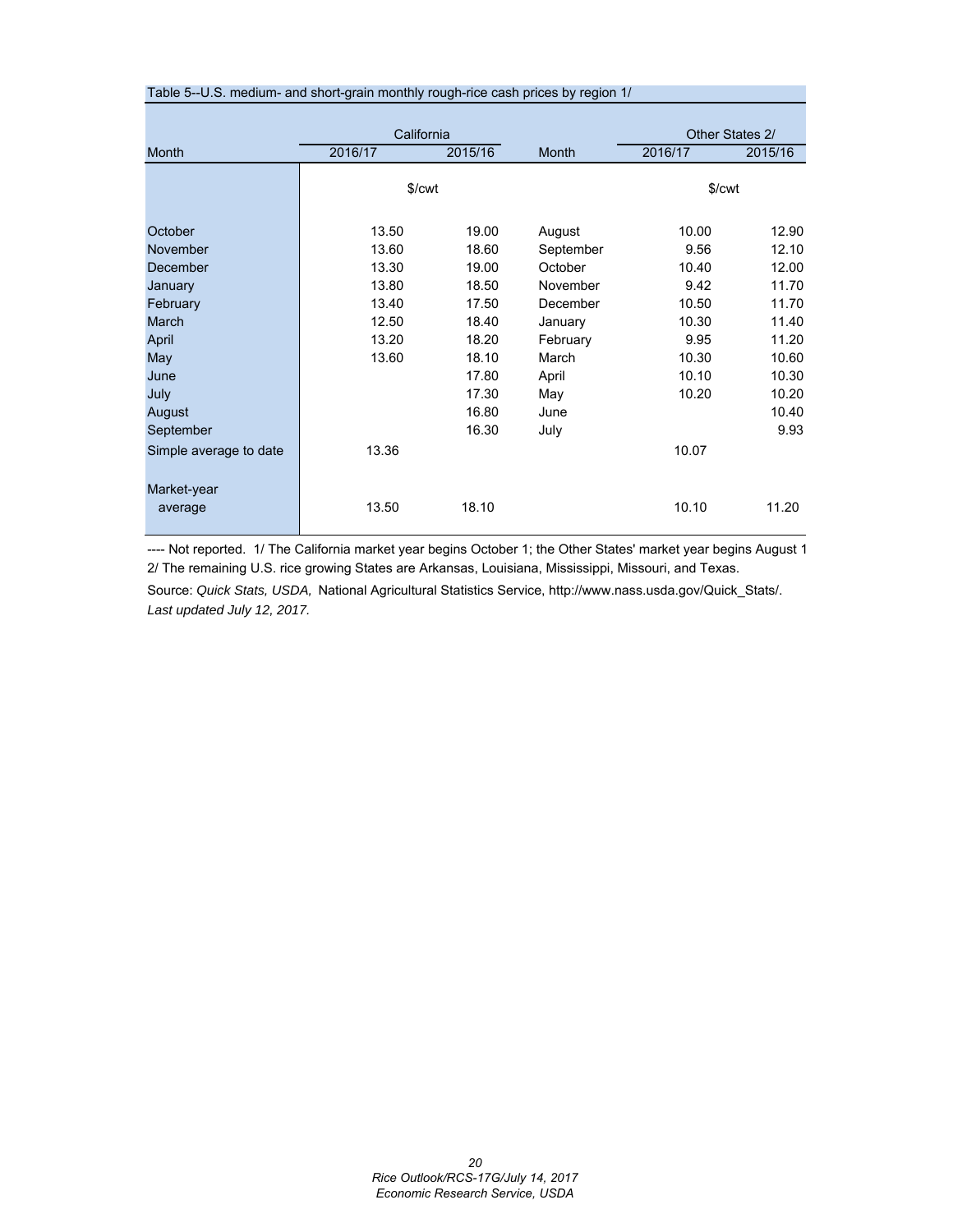| Table 5--U.S. medium- and short-grain monthly rough-rice cash prices by region 1/ |                    |         |           |                    |                 |
|-----------------------------------------------------------------------------------|--------------------|---------|-----------|--------------------|-----------------|
|                                                                                   |                    |         |           |                    |                 |
|                                                                                   | California         |         |           |                    | Other States 2/ |
| Month                                                                             | 2016/17            | 2015/16 | Month     | 2016/17            | 2015/16         |
|                                                                                   |                    |         |           |                    |                 |
|                                                                                   | \$/ <sub>cut</sub> |         |           | \$/ <sub>cut</sub> |                 |
|                                                                                   |                    |         |           |                    |                 |
| October                                                                           | 13.50              | 19.00   | August    | 10.00              | 12.90           |
| November                                                                          | 13.60              | 18.60   | September | 9.56               | 12.10           |
| December                                                                          | 13.30              | 19.00   | October   | 10.40              | 12.00           |
| January                                                                           | 13.80              | 18.50   | November  | 9.42               | 11.70           |
| February                                                                          | 13.40              | 17.50   | December  | 10.50              | 11.70           |
| March                                                                             | 12.50              | 18.40   | January   | 10.30              | 11.40           |
| April                                                                             | 13.20              | 18.20   | February  | 9.95               | 11.20           |
| May                                                                               | 13.60              | 18.10   | March     | 10.30              | 10.60           |
| June                                                                              |                    | 17.80   | April     | 10.10              | 10.30           |
| July                                                                              |                    | 17.30   | May       | 10.20              | 10.20           |
| August                                                                            |                    | 16.80   | June      |                    | 10.40           |
| September                                                                         |                    | 16.30   | July      |                    | 9.93            |
| Simple average to date                                                            | 13.36              |         |           | 10.07              |                 |
|                                                                                   |                    |         |           |                    |                 |
| Market-year                                                                       |                    |         |           |                    |                 |
| average                                                                           | 13.50              | 18.10   |           | 10.10              | 11.20           |
|                                                                                   |                    |         |           |                    |                 |
|                                                                                   |                    |         |           |                    |                 |

---- Not reported. 1/ The California market year begins October 1; the Other States' market year begins August 1 2/ The remaining U.S. rice growing States are Arkansas, Louisiana, Mississippi, Missouri, and Texas.

Source: *Quick Stats, USDA,* National Agricultural Statistics Service, http://www.nass.usda.gov/Quick\_Stats/. *Last updated July 12, 2017.*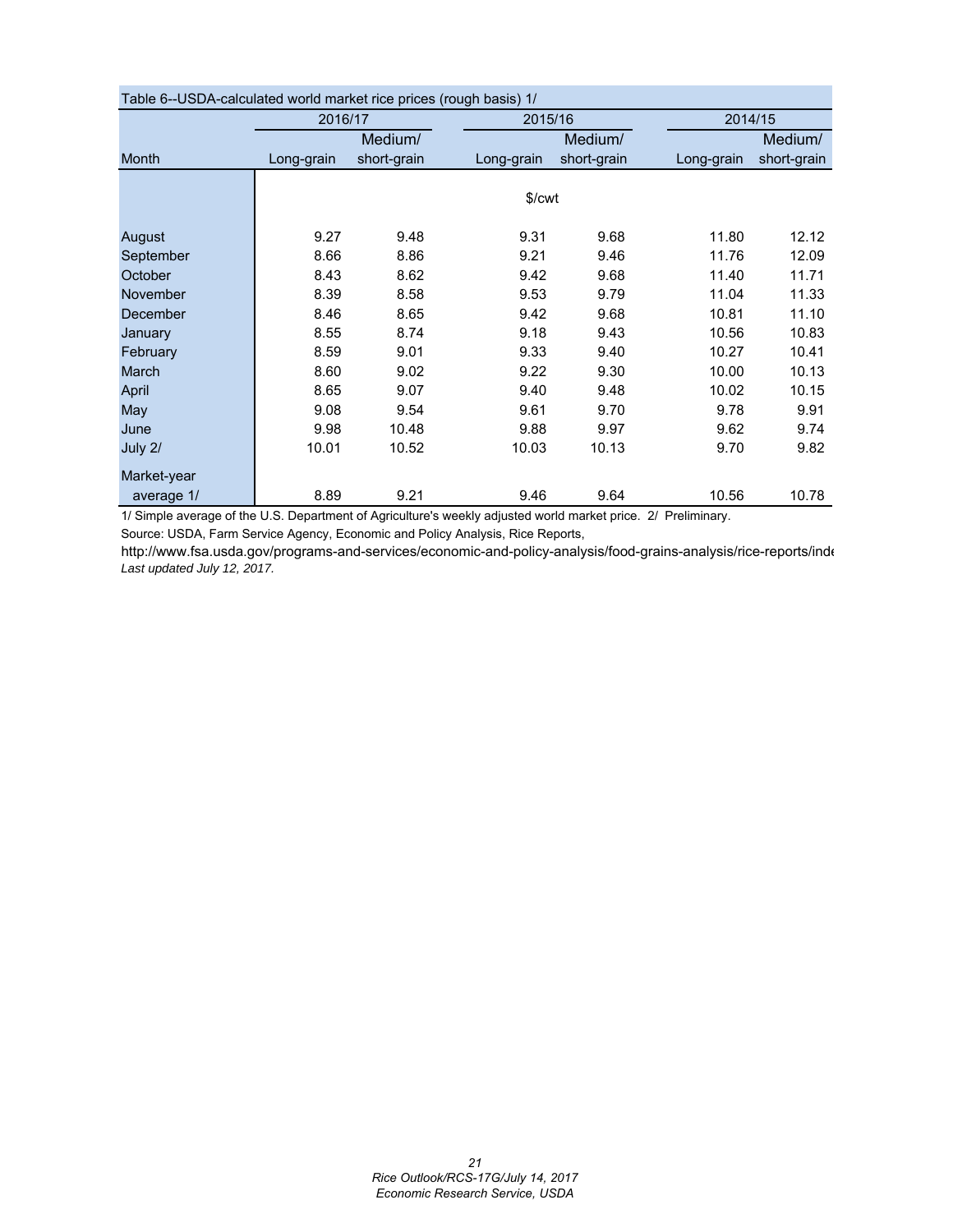| Table 6--OSDA-calculated world market rice prices (rough basis) T/ |            |             |            |             |            |             |
|--------------------------------------------------------------------|------------|-------------|------------|-------------|------------|-------------|
|                                                                    | 2016/17    |             | 2015/16    |             |            | 2014/15     |
|                                                                    |            | Medium/     |            | Medium/     |            | Medium/     |
| Month                                                              | Long-grain | short-grain | Long-grain | short-grain | Long-grain | short-grain |
|                                                                    |            |             |            |             |            |             |
|                                                                    |            |             | \$/cwt     |             |            |             |
|                                                                    |            |             |            |             |            |             |
| August                                                             | 9.27       | 9.48        | 9.31       | 9.68        | 11.80      | 12.12       |
| September                                                          | 8.66       | 8.86        | 9.21       | 9.46        | 11.76      | 12.09       |
| October                                                            | 8.43       | 8.62        | 9.42       | 9.68        | 11.40      | 11.71       |
| <b>November</b>                                                    | 8.39       | 8.58        | 9.53       | 9.79        | 11.04      | 11.33       |
| December                                                           | 8.46       | 8.65        | 9.42       | 9.68        | 10.81      | 11.10       |
| January                                                            | 8.55       | 8.74        | 9.18       | 9.43        | 10.56      | 10.83       |
| February                                                           | 8.59       | 9.01        | 9.33       | 9.40        | 10.27      | 10.41       |
| March                                                              | 8.60       | 9.02        | 9.22       | 9.30        | 10.00      | 10.13       |
| April                                                              | 8.65       | 9.07        | 9.40       | 9.48        | 10.02      | 10.15       |
| May                                                                | 9.08       | 9.54        | 9.61       | 9.70        | 9.78       | 9.91        |
| June                                                               | 9.98       | 10.48       | 9.88       | 9.97        | 9.62       | 9.74        |
| July 2/                                                            | 10.01      | 10.52       | 10.03      | 10.13       | 9.70       | 9.82        |
| Market-year                                                        |            |             |            |             |            |             |
| average 1/                                                         | 8.89       | 9.21        | 9.46       | 9.64        | 10.56      | 10.78       |

| Table 6--USDA-calculated world market rice prices (rough basis) 1/ |  |  |
|--------------------------------------------------------------------|--|--|
|                                                                    |  |  |

1/ Simple average of the U.S. Department of Agriculture's weekly adjusted world market price. 2/ Preliminary.

Source: USDA, Farm Service Agency, Economic and Policy Analysis, Rice Reports,

http://www.fsa.usda.gov/programs-and-services/economic-and-policy-analysis/food-grains-analysis/rice-reports/inde *Last updated July 12, 2017.*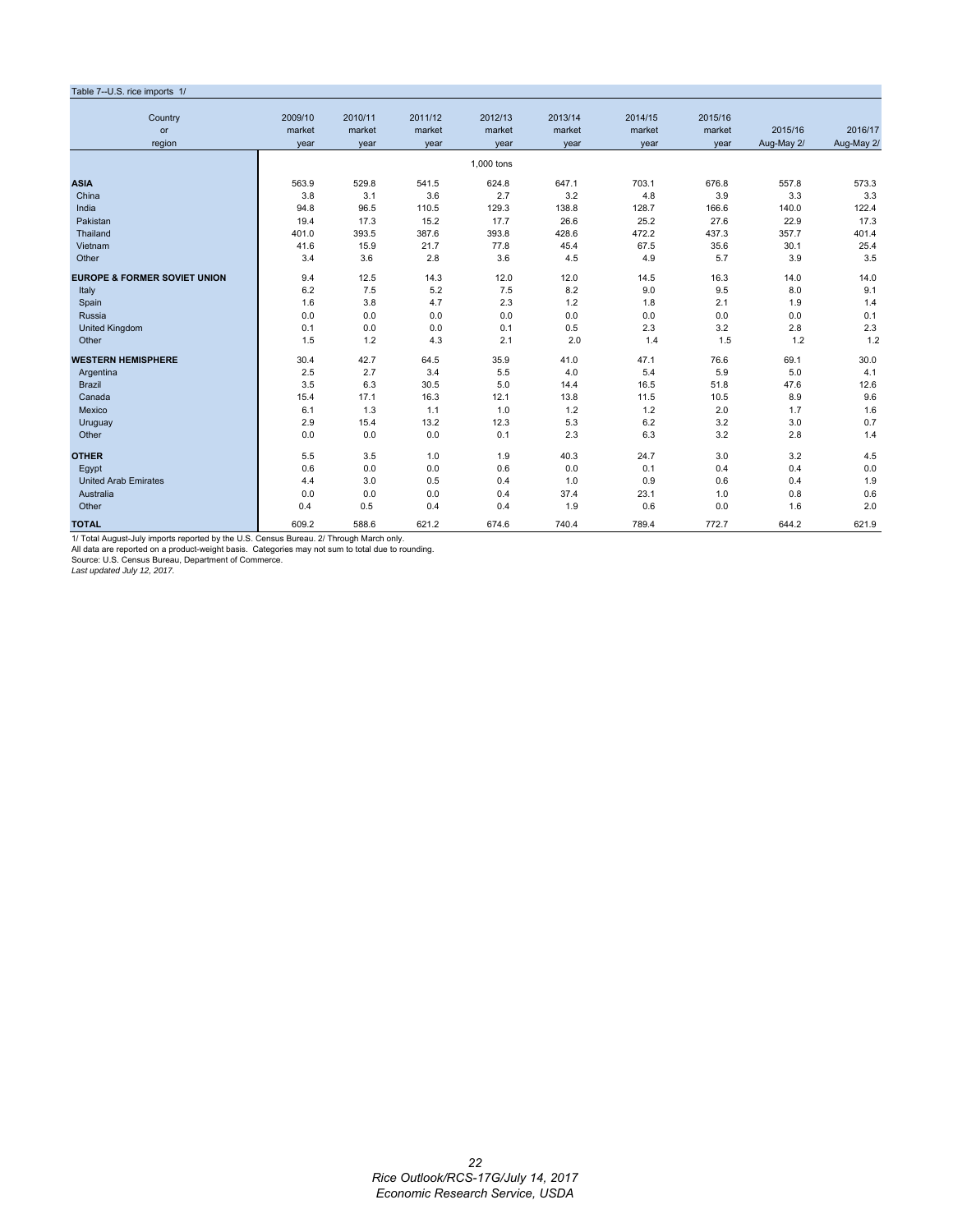#### Table 7--U.S. rice imports 1/ Country 2009/10 2010/11 2011/12 2012/13 2013/14 2014/15 2015/16 or market market market market market market market 2015/16 2016/17 region year year year year year year year Aug-May 2/ Aug-May 2/ 1,000 tons **ASIA** 563.9 529.8 541.5 624.8 647.1 703.1 676.8 557.8 573.3 China 3.8 3.1 3.6 2.7 3.2 4.8 3.9 3.3 3.3 3.3 India 94.8 96.5 110.5 129.3 138.8 128.7 166.6 140.0 122.4 Pakistan 19.4 17.3 15.2 17.7 26.6 25.2 27.6 22.9 17.3 Thailand 401.0 393.5 387.6 393.8 428.6 472.2 437.3 357.7 401.4 Vietnam 41.6 15.9 21.7 77.8 45.4 67.5 35.6 30.1 25.4 Other 3.4 3.6 2.8 3.6 4.5 4.9 5.7 3.9 3.5 **EUROPE & FORMER SOVIET UNION** 9.4 12.5 14.3 12.0 12.0 14.5 16.3 14.0 14.0 Italy 6.2 7.5 5.2 7.5 8.2 9.0 9.5 8.0 9.1 Spain 1.6 1.6 3.8 4.7 2.3 1.2 1.8 2.1 1.9 1.4 Russia 0.0 0.0 0.0 0.0 0.0 0.0 0.0 0.0 0.1 United Kingdom 0.1 0.0 0.0 0.1 0.5 2.3 3.2 2.8 2.3 Other 1.2 1.5 1.5 1.2 4.3 2.1 2.0 1.4 1.5 1.2 1.2 **WESTERN HEMISPHERE** 30.4 42.7 64.5 35.9 41.0 47.1 76.6 69.1 30.0 Argentina 2.5 2.7 3.4 5.5 4.0 5.4 5.9 5.0 4.1 Brazil 3.5 6.3 30.5 5.0 14.4 16.5 51.8 47.6 12.6 Canada 15.4 17.1 16.3 12.1 13.8 11.5 10.5 8.9 9.6 Mexico 6.1 1.3 1.1 1.0 1.2 1.2 2.0 1.7 1.6 Uruguay 2.9 15.4 13.2 12.3 5.3 6.2 3.2 3.0 0.7 Other 2.8 1.4 0.0 0.0 0.0 0.0 0.1 2.3 6.3 3.2 2.8 1.4 **OTHER** 5.5 3.5 1.0 1.9 40.3 24.7 3.0 3.2 4.5 Egypt 0.6 0.0 0.0 0.6 0.0 0.1 0.4 0.4 0.0 United Arab Emirates 4.4 3.0 0.5 0.4 1.0 0.9 0.6 0.4 1.9 Australia 0.0 0.0 0.0 0.4 37.4 23.1 1.0 0.8 0.6 Other 0.4 0.5 0.4 0.4 1.9 0.6 0.0 1.6 2.0 **TOTAL** 609.2 588.6 621.2 674.6 740.4 789.4 772.7 644.2 621.9

1/ Total August-July imports reported by the U.S. Census Bureau. 2/ Through March only.

All data are reported on a product-weight basis. Categories may not sum to total due to rounding. Source: U.S. Census Bureau, Department of Commerce.

*Last updated July 12, 2017.*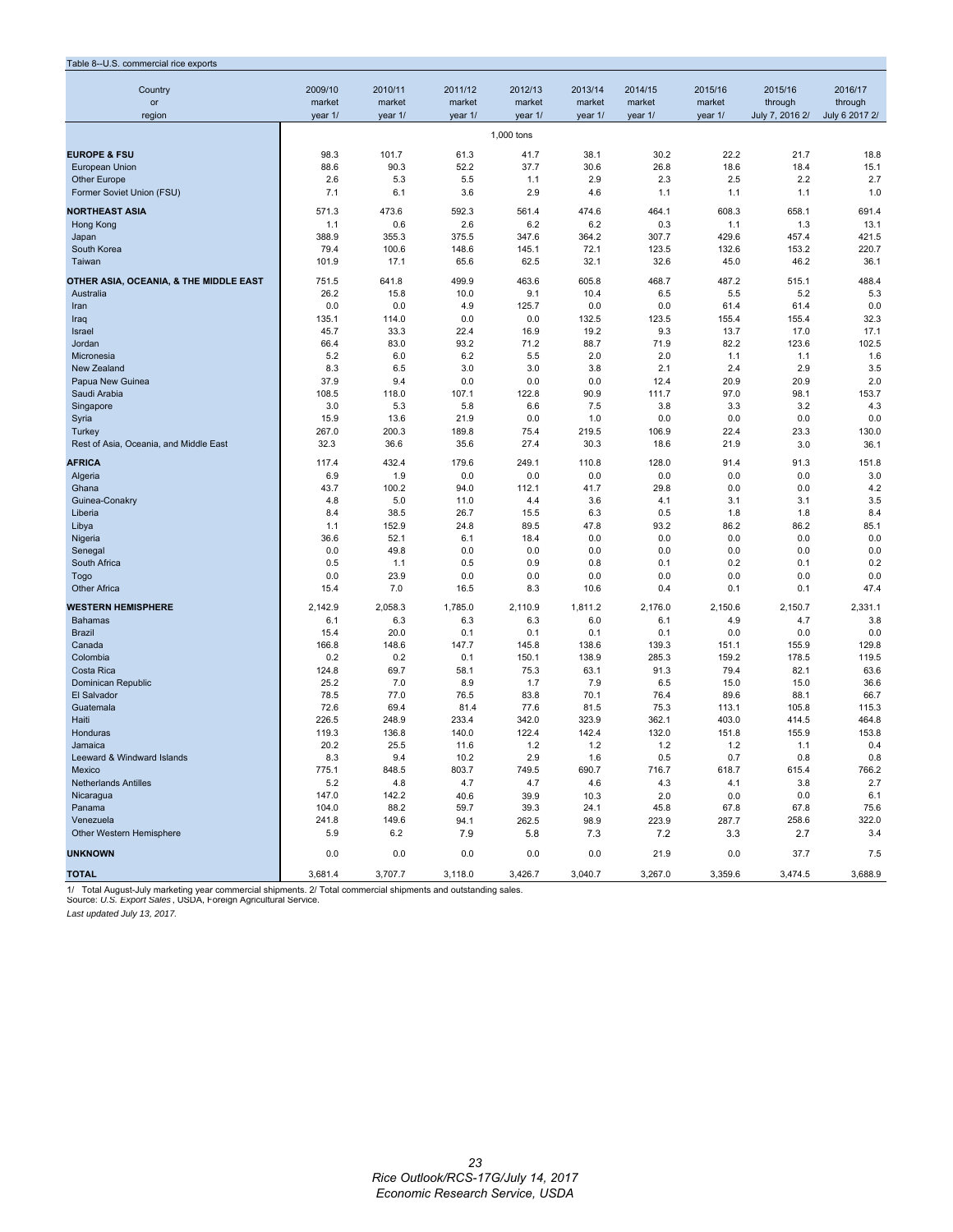#### Table 8--U.S. commercial rice exports

| rable o--0.3. commercial rice exports  |              |              |              |              |              |              |               |                 |                |
|----------------------------------------|--------------|--------------|--------------|--------------|--------------|--------------|---------------|-----------------|----------------|
| Country                                | 2009/10      | 2010/11      | 2011/12      | 2012/13      | 2013/14      | 2014/15      | 2015/16       | 2015/16         | 2016/17        |
| or                                     | market       | market       | market       | market       | market       | market       | market        | through         | through        |
| region                                 | year 1/      | year 1/      | year 1/      | year 1/      | year 1/      | year 1/      | year 1/       | July 7, 2016 2/ | July 6 2017 2/ |
|                                        |              |              |              |              |              |              |               |                 |                |
|                                        |              |              |              | 1,000 tons   |              |              |               |                 |                |
| <b>EUROPE &amp; FSU</b>                | 98.3         | 101.7        | 61.3         | 41.7         | 38.1         | 30.2         | 22.2          | 21.7            | 18.8           |
| <b>European Union</b>                  | 88.6         | 90.3         | 52.2         | 37.7         | 30.6         | 26.8         | 18.6          | 18.4            | 15.1           |
| <b>Other Europe</b>                    | 2.6          | 5.3          | 5.5          | 1.1          | 2.9          | 2.3          | 2.5           | 2.2             | 2.7            |
| Former Soviet Union (FSU)              | 7.1          | 6.1          | 3.6          | 2.9          | 4.6          | 1.1          | 1.1           | 1.1             | 1.0            |
| <b>NORTHEAST ASIA</b>                  | 571.3        | 473.6        | 592.3        | 561.4        | 474.6        | 464.1        | 608.3         | 658.1           | 691.4          |
| Hong Kong                              | 1.1          | 0.6          | 2.6          | 6.2          | 6.2          | 0.3          | 1.1           | 1.3             | 13.1           |
| Japan                                  | 388.9        | 355.3        | 375.5        | 347.6        | 364.2        | 307.7        | 429.6         | 457.4           | 421.5          |
| South Korea                            | 79.4         | 100.6        | 148.6        | 145.1        | 72.1         | 123.5        | 132.6         | 153.2           | 220.7          |
| Taiwan                                 | 101.9        | 17.1         | 65.6         | 62.5         | 32.1         | 32.6         | 45.0          | 46.2            | 36.1           |
|                                        |              |              |              |              |              |              |               |                 |                |
| OTHER ASIA, OCEANIA, & THE MIDDLE EAST | 751.5        | 641.8        | 499.9        | 463.6        | 605.8        | 468.7        | 487.2         | 515.1           | 488.4          |
| Australia                              | 26.2         | 15.8         | 10.0         | 9.1          | 10.4         | 6.5          | 5.5           | 5.2             | 5.3            |
| Iran<br>Iraq                           | 0.0<br>135.1 | 0.0<br>114.0 | 4.9<br>0.0   | 125.7<br>0.0 | 0.0<br>132.5 | 0.0<br>123.5 | 61.4<br>155.4 | 61.4<br>155.4   | 0.0<br>32.3    |
| Israel                                 | 45.7         | 33.3         | 22.4         | 16.9         | 19.2         | 9.3          | 13.7          | 17.0            | 17.1           |
| Jordan                                 | 66.4         | 83.0         | 93.2         | 71.2         | 88.7         | 71.9         | 82.2          | 123.6           | 102.5          |
| Micronesia                             | 5.2          | 6.0          | 6.2          | 5.5          | 2.0          | 2.0          | 1.1           | 1.1             | 1.6            |
| New Zealand                            | 8.3          | 6.5          | 3.0          | 3.0          | 3.8          | 2.1          | 2.4           | 2.9             | 3.5            |
| Papua New Guinea                       | 37.9         | 9.4          | 0.0          | 0.0          | 0.0          | 12.4         | 20.9          | 20.9            | 2.0            |
| Saudi Arabia                           | 108.5        | 118.0        | 107.1        | 122.8        | 90.9         | 111.7        | 97.0          | 98.1            | 153.7          |
| Singapore                              | 3.0          | 5.3          | 5.8          | 6.6          | 7.5          | 3.8          | 3.3           | 3.2             | 4.3            |
| Syria                                  | 15.9         | 13.6         | 21.9         | 0.0          | 1.0          | 0.0          | 0.0           | 0.0             | 0.0            |
| Turkey                                 | 267.0        | 200.3        | 189.8        | 75.4         | 219.5        | 106.9        | 22.4          | 23.3            | 130.0          |
| Rest of Asia, Oceania, and Middle East | 32.3         | 36.6         | 35.6         | 27.4         | 30.3         | 18.6         | 21.9          | 3.0             | 36.1           |
| <b>AFRICA</b>                          | 117.4        | 432.4        | 179.6        | 249.1        | 110.8        | 128.0        | 91.4          | 91.3            | 151.8          |
| Algeria                                | 6.9          | 1.9          | 0.0          | 0.0          | 0.0          | 0.0          | 0.0           | 0.0             | 3.0            |
| Ghana                                  | 43.7         | 100.2        | 94.0         | 112.1        | 41.7         | 29.8         | 0.0           | 0.0             | 4.2            |
| Guinea-Conakry                         | 4.8          | 5.0          | 11.0         | 4.4          | 3.6          | 4.1          | 3.1           | 3.1             | 3.5            |
| Liberia                                | 8.4          | 38.5         | 26.7         | 15.5         | 6.3          | 0.5          | 1.8           | 1.8             | 8.4            |
| Libya                                  | 1.1          | 152.9        | 24.8         | 89.5         | 47.8         | 93.2         | 86.2          | 86.2            | 85.1           |
| Nigeria                                | 36.6         | 52.1         | 6.1          | 18.4         | 0.0          | 0.0          | 0.0           | 0.0             | 0.0            |
| Senegal                                | 0.0          | 49.8         | 0.0          | 0.0          | 0.0          | 0.0          | 0.0           | 0.0             | 0.0            |
| South Africa                           | 0.5          | 1.1          | 0.5          | 0.9          | 0.8          | 0.1          | 0.2           | 0.1             | 0.2            |
| Togo                                   | 0.0          | 23.9         | 0.0          | 0.0          | 0.0          | 0.0          | 0.0           | 0.0             | 0.0            |
| <b>Other Africa</b>                    | 15.4         | 7.0          | 16.5         | 8.3          | 10.6         | 0.4          | 0.1           | 0.1             | 47.4           |
| <b>WESTERN HEMISPHERE</b>              | 2,142.9      | 2,058.3      | 1,785.0      | 2,110.9      | 1,811.2      | 2,176.0      | 2,150.6       | 2,150.7         | 2,331.1        |
| <b>Bahamas</b>                         | 6.1          | 6.3          | 6.3          | 6.3          | 6.0          | 6.1          | 4.9           | 4.7             | 3.8            |
| <b>Brazil</b>                          | 15.4         | 20.0         | 0.1          | 0.1          | 0.1          | 0.1          | 0.0           | 0.0             | 0.0            |
| Canada                                 | 166.8        | 148.6        | 147.7        | 145.8        | 138.6        | 139.3        | 151.1         | 155.9           | 129.8          |
| Colombia                               | 0.2          | 0.2          | 0.1          | 150.1        | 138.9        | 285.3        | 159.2         | 178.5           | 119.5          |
| Costa Rica                             | 124.8        | 69.7         | 58.1         | 75.3         | 63.1         | 91.3         | 79.4          | 82.1            | 63.6           |
| Dominican Republic                     | 25.2         | 7.0          | 8.9          | 1.7          | 7.9          | 6.5          | 15.0          | 15.0            | 36.6           |
| El Salvador                            | 78.5         | 77.0         | 76.5         | 83.8         | 70.1         | 76.4         | 89.6          | 88.1            | 66.7           |
| Guatemala                              | 72.6         | 69.4         | 81.4         | 77.6         | 81.5         | 75.3         | 113.1         | 105.8           | 115.3          |
| <b>Haiti</b>                           | 226.5        | 248.9        | 233.4        | 342.0        | 323.9        | 362.1        | 403.0         | 414.5           | 464.8          |
| Honduras                               | 119.3        | 136.8        | 140.0        | 122.4        | 142.4        | 132.0        | 151.8         | 155.9           | 153.8          |
| Jamaica<br>Leeward & Windward Islands  | 20.2<br>8.3  | 25.5<br>9.4  | 11.6<br>10.2 | 1.2<br>2.9   | 1.2<br>1.6   | 1.2<br>0.5   | 1.2<br>0.7    | 1.1<br>0.8      | 0.4<br>0.8     |
| Mexico                                 | 775.1        | 848.5        | 803.7        | 749.5        | 690.7        | 716.7        | 618.7         | 615.4           | 766.2          |
| <b>Netherlands Antilles</b>            | 5.2          | 4.8          | 4.7          | 4.7          | 4.6          | 4.3          | 4.1           | 3.8             | 2.7            |
| Nicaragua                              | 147.0        | 142.2        | 40.6         | 39.9         | 10.3         | 2.0          | 0.0           | 0.0             | 6.1            |
| Panama                                 | 104.0        | 88.2         | 59.7         | 39.3         | 24.1         | 45.8         | 67.8          | 67.8            | 75.6           |
| Venezuela                              | 241.8        | 149.6        | 94.1         | 262.5        | 98.9         | 223.9        | 287.7         | 258.6           | 322.0          |
| Other Western Hemisphere               | 5.9          | 6.2          | 7.9          | 5.8          | 7.3          | 7.2          | 3.3           | 2.7             | 3.4            |
|                                        |              |              |              |              |              |              |               |                 |                |
| <b>UNKNOWN</b>                         | 0.0          | 0.0          | 0.0          | 0.0          | 0.0          | 21.9         | 0.0           | 37.7            | 7.5            |
| <b>TOTAL</b>                           | 3,681.4      | 3,707.7      | 3,118.0      | 3,426.7      | 3,040.7      | 3,267.0      | 3,359.6       | 3,474.5         | 3,688.9        |

1/ Total August-July marketing year commercial shipments. 2/ Total commercial shipments and outstanding sales. Source: *U.S. Export Sales* , USDA, Foreign Agricultural Service.

*Last updated July 13, 2017.*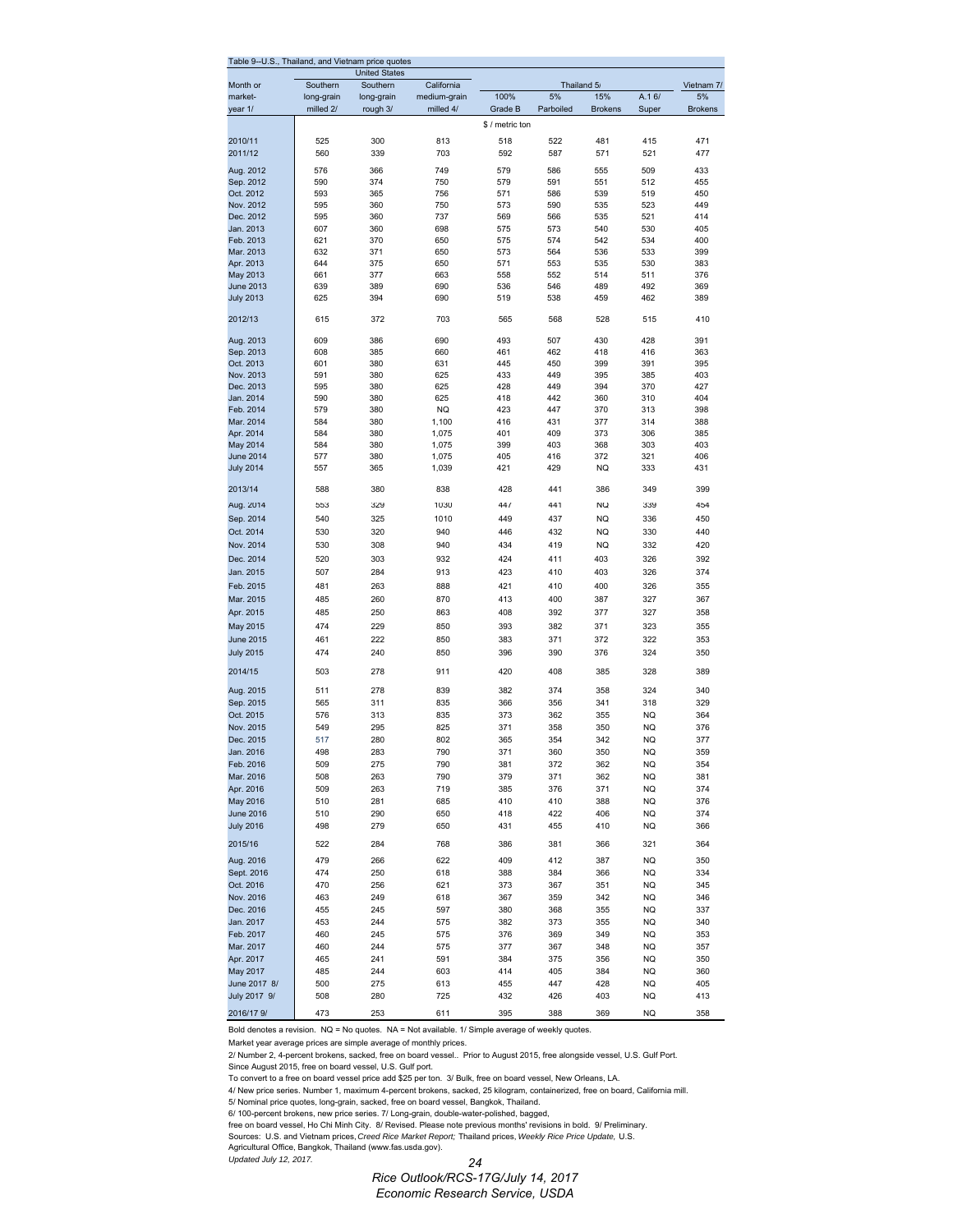| Table 9--U.S., Thailand, and Vietnam price quotes |            | <b>United States</b> |                  |                 |             |                |            |                |
|---------------------------------------------------|------------|----------------------|------------------|-----------------|-------------|----------------|------------|----------------|
| Month or                                          | Southern   | Southern             | California       |                 | Thailand 5/ |                |            | Vietnam 7/     |
| market-                                           | long-grain | long-grain           | medium-grain     | 100%            | 5%          | 15%            | A.16/      | 5%             |
| year 1/                                           | milled 2/  | rough 3/             | milled 4/        | Grade B         | Parboiled   | <b>Brokens</b> | Super      | <b>Brokens</b> |
|                                                   |            |                      |                  | \$ / metric ton |             |                |            |                |
| 2010/11<br>2011/12                                | 525<br>560 | 300<br>339           | 813<br>703       | 518<br>592      | 522<br>587  | 481<br>571     | 415<br>521 | 471<br>477     |
|                                                   |            |                      |                  |                 |             |                |            |                |
| Aug. 2012<br>Sep. 2012                            | 576<br>590 | 366<br>374           | 749<br>750       | 579<br>579      | 586<br>591  | 555<br>551     | 509<br>512 | 433<br>455     |
| Oct. 2012                                         | 593        | 365                  | 756              | 571             | 586         | 539            | 519        | 450            |
| Nov. 2012                                         | 595        | 360                  | 750              | 573             | 590         | 535            | 523        | 449            |
| Dec. 2012                                         | 595        | 360                  | 737              | 569             | 566         | 535            | 521        | 414            |
| Jan. 2013                                         | 607        | 360                  | 698              | 575             | 573         | 540            | 530        | 405            |
| Feb. 2013<br>Mar. 2013                            | 621        | 370                  | 650              | 575             | 574         | 542            | 534        | 400            |
| Apr. 2013                                         | 632<br>644 | 371<br>375           | 650<br>650       | 573<br>571      | 564<br>553  | 536<br>535     | 533<br>530 | 399<br>383     |
| May 2013                                          | 661        | 377                  | 663              | 558             | 552         | 514            | 511        | 376            |
| <b>June 2013</b>                                  | 639        | 389                  | 690              | 536             | 546         | 489            | 492        | 369            |
| <b>July 2013</b>                                  | 625        | 394                  | 690              | 519             | 538         | 459            | 462        | 389            |
| 2012/13                                           | 615        | 372                  | 703              | 565             | 568         | 528            | 515        | 410            |
| Aug. 2013                                         | 609        | 386                  | 690              | 493             | 507         | 430            | 428        | 391            |
| Sep. 2013                                         | 608        | 385                  | 660              | 461             | 462         | 418            | 416        | 363            |
| Oct. 2013                                         | 601        | 380                  | 631              | 445             | 450         | 399            | 391        | 395            |
| Nov. 2013                                         | 591        | 380                  | 625              | 433             | 449         | 395            | 385        | 403            |
| Dec. 2013                                         | 595        | 380                  | 625              | 428             | 449         | 394            | 370        | 427            |
| Jan. 2014<br>Feb. 2014                            | 590<br>579 | 380<br>380           | 625<br><b>NQ</b> | 418<br>423      | 442<br>447  | 360<br>370     | 310<br>313 | 404<br>398     |
| Mar. 2014                                         | 584        | 380                  | 1,100            | 416             | 431         | 377            | 314        | 388            |
| Apr. 2014                                         | 584        | 380                  | 1,075            | 401             | 409         | 373            | 306        | 385            |
| May 2014                                          | 584        | 380                  | 1,075            | 399             | 403         | 368            | 303        | 403            |
| <b>June 2014</b>                                  | 577        | 380                  | 1,075            | 405             | 416         | 372            | 321        | 406            |
| <b>July 2014</b>                                  | 557        | 365                  | 1,039            | 421             | 429         | <b>NQ</b>      | 333        | 431            |
| 2013/14                                           | 588        | 380                  | 838              | 428             | 441         | 386            | 349        | 399            |
| Aug. 2014                                         | 553        | 329                  | 1030             | 447             | 441         | <b>NQ</b>      | 339        | 454            |
| Sep. 2014                                         | 540        | 325                  | 1010             | 449             | 437         | <b>NQ</b>      | 336        | 450            |
| Oct. 2014                                         | 530        | 320                  | 940              | 446             | 432         | NQ             | 330        | 440            |
| Nov. 2014                                         | 530        | 308                  | 940              | 434             | 419         | <b>NQ</b>      | 332        | 420            |
| Dec. 2014                                         | 520        | 303                  | 932              | 424             | 411         | 403            | 326        | 392            |
| Jan. 2015                                         | 507        | 284                  | 913              | 423             | 410         | 403            | 326        | 374            |
| Feb. 2015                                         | 481        | 263                  | 888              | 421             | 410         | 400            | 326        | 355            |
| Mar. 2015                                         | 485        | 260                  | 870              | 413             | 400         | 387            | 327        | 367            |
| Apr. 2015                                         | 485        | 250                  | 863              | 408             | 392         | 377            | 327        | 358            |
| May 2015                                          | 474        | 229                  | 850              | 393             | 382         | 371            | 323        | 355            |
| <b>June 2015</b>                                  | 461        | 222                  | 850              | 383             | 371         | 372            | 322        | 353            |
| <b>July 2015</b><br>2014/15                       | 474<br>503 | 240<br>278           | 850<br>911       | 396<br>420      | 390<br>408  | 376<br>385     | 324<br>328 | 350<br>389     |
| Aug. 2015                                         | 511        | 278                  | 839              | 382             | 374         | 358            | 324        | 340            |
| Sep. 2015                                         | 565        | 311                  | 835              | 366             | 356         | 341            | 318        | 329            |
| Oct. 2015                                         | 576        | 313                  | 835              | 373             | 362         | 355            | ΝQ         | 364            |
| Nov. 2015                                         | 549        | 295                  | 825              | 371             | 358         | 350            | <b>NQ</b>  | 376            |
| Dec. 2015                                         | 517        | 280                  | 802              | 365             | 354         | 342            | <b>NQ</b>  | 377            |
| Jan. 2016                                         | 498        | 283                  | 790              | 371             | 360         | 350            | NQ         | 359            |
| Feb. 2016                                         | 509        | 275                  | 790              | 381             | 372         | 362            | <b>NQ</b>  | 354            |
| Mar. 2016<br>Apr. 2016                            | 508<br>509 | 263<br>263           | 790<br>719       | 379<br>385      | 371<br>376  | 362<br>371     | NQ<br>NQ   | 381<br>374     |
| May 2016                                          | 510        | 281                  | 685              | 410             | 410         | 388            | NQ         | 376            |
| <b>June 2016</b>                                  | 510        | 290                  | 650              | 418             | 422         | 406            | NQ         | 374            |
| <b>July 2016</b>                                  | 498        | 279                  | 650              | 431             | 455         | 410            | NQ         | 366            |
| 2015/16                                           | 522        | 284                  | 768              | 386             | 381         | 366            | 321        | 364            |
| Aug. 2016                                         | 479        | 266                  | 622              | 409             | 412         | 387            | NQ         | 350            |
| Sept. 2016                                        | 474        | 250                  | 618              | 388             | 384         | 366            | NQ         | 334            |
| Oct. 2016                                         | 470        | 256                  | 621              | 373             | 367         | 351            | NQ         | 345            |
| Nov. 2016                                         | 463        | 249                  | 618              | 367             | 359         | 342            | NQ         | 346            |
| Dec. 2016                                         | 455        | 245                  | 597              | 380             | 368         | 355            | NQ         | 337            |
| Jan. 2017<br>Feb. 2017                            | 453<br>460 | 244<br>245           | 575<br>575       | 382<br>376      | 373<br>369  | 355<br>349     | NQ<br>NQ   | 340<br>353     |
| Mar. 2017                                         | 460        | 244                  | 575              | 377             | 367         | 348            | NQ         | 357            |
| Apr. 2017                                         | 465        | 241                  | 591              | 384             | 375         | 356            | NQ         | 350            |
| May 2017                                          | 485        | 244                  | 603              | 414             | 405         | 384            | NQ         | 360            |
| June 2017 8/                                      | 500        | 275                  | 613              | 455             | 447         | 428            | NQ         | 405            |
| July 2017 9/                                      | 508        | 280                  | 725              | 432             | 426         | 403            | NQ         | 413            |
| 2016/17 9/                                        | 473        | 253                  | 611              | 395             | 388         | 369            | <b>NQ</b>  | 358            |

Bold denotes a revision. NQ = No quotes. NA = Not available. 1/ Simple average of weekly quotes.

Market year average prices are simple average of monthly prices.

2/ Number 2, 4-percent brokens, sacked, free on board vessel.. Prior to August 2015, free alongside vessel, U.S. Gulf Port.

Since August 2015, free on board vessel, U.S. Gulf port.

To convert to a free on board vessel price add \$25 per ton. 3/ Bulk, free on board vessel, New Orleans, LA.

4/ New price series. Number 1, maximum 4-percent brokens, sacked, 25 kilogram, containerized, free on board, California mill.

5/ Nominal price quotes, long-grain, sacked, free on board vessel, Bangkok, Thailand.

6/ 100-percent brokens, new price series. 7/ Long-grain, double-water-polished, bagged,

free on board vessel, Ho Chi Minh City. 8/ Revised. Please note previous months' revisions in bold. 9/ Preliminary.

Sources: U.S. and Vietnam prices, *Creed Rice Market Report;* Thailand prices, *Weekly Rice Price Update,* U.S.<br>Agricultural Office, Bangkok, Thailand (www.fas.usda.gov).

*Updated July 12, 2017.*

*24* 

*Rice Outlook/RCS-17G/July 14, 2017 Economic Research Service, USDA*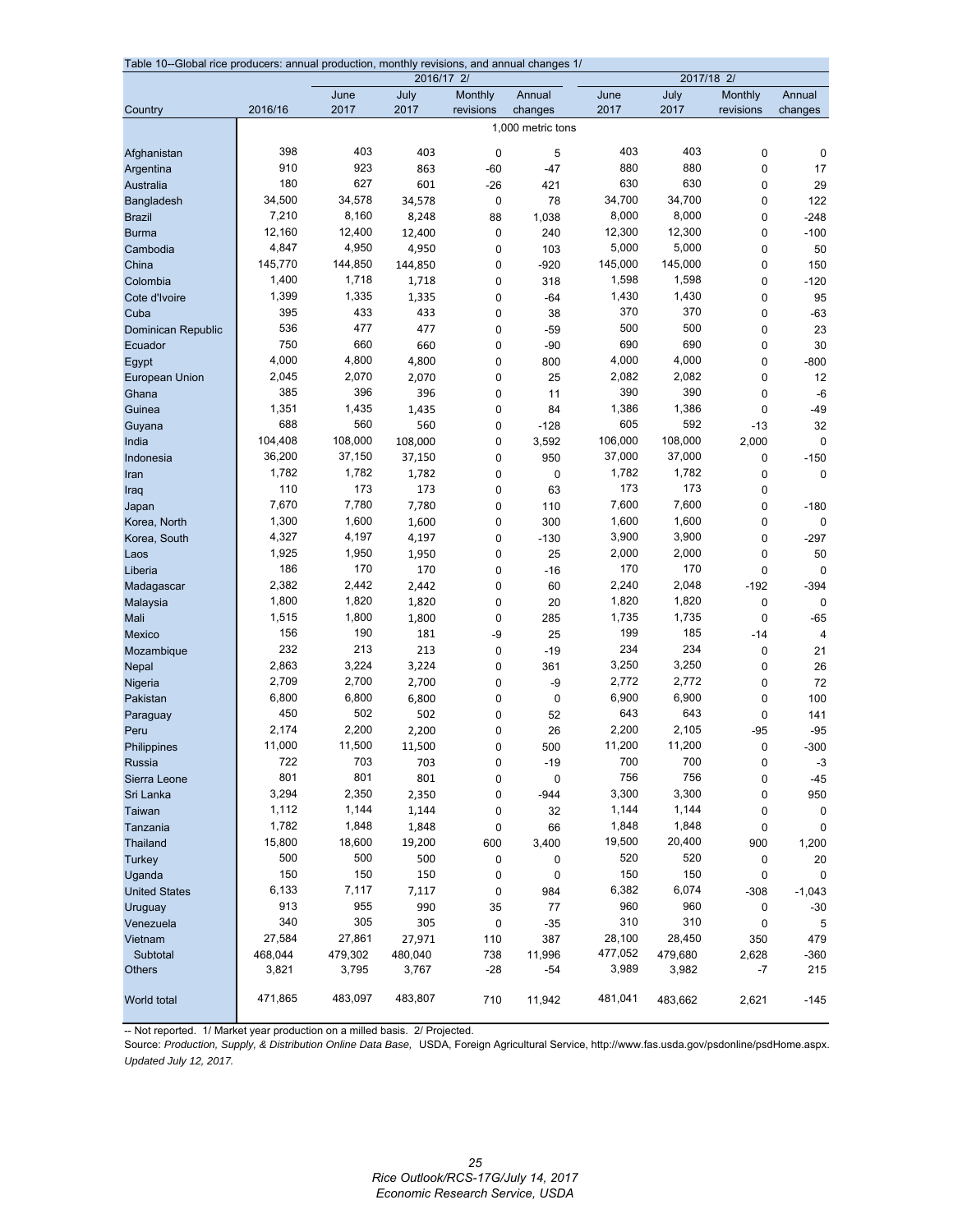| Table 10--Global rice producers: annual production, monthly revisions, and annual changes 1/<br>2017/18 2/<br>2016/17 2/ |                 |                 |              |                      |                   |                 |                 |                      |                       |  |
|--------------------------------------------------------------------------------------------------------------------------|-----------------|-----------------|--------------|----------------------|-------------------|-----------------|-----------------|----------------------|-----------------------|--|
|                                                                                                                          |                 |                 |              |                      |                   |                 |                 |                      |                       |  |
| Country                                                                                                                  | 2016/16         | June<br>2017    | July<br>2017 | Monthly<br>revisions | Annual<br>changes | June<br>2017    | July<br>2017    | Monthly<br>revisions | Annual<br>changes     |  |
|                                                                                                                          |                 |                 |              |                      | 1,000 metric tons |                 |                 |                      |                       |  |
|                                                                                                                          |                 |                 |              |                      |                   |                 |                 |                      |                       |  |
| Afghanistan                                                                                                              | 398             | 403             | 403          | 0                    | 5                 | 403             | 403             | $\mathbf 0$          | $\mathbf 0$           |  |
| Argentina                                                                                                                | 910             | 923             | 863          | $-60$                | $-47$             | 880             | 880             | $\mathbf 0$          | 17                    |  |
| Australia                                                                                                                | 180             | 627             | 601          | $-26$                | 421               | 630             | 630             | $\mathbf 0$          | 29                    |  |
| Bangladesh                                                                                                               | 34,500          | 34,578          | 34,578       | 0                    | 78                | 34,700          | 34,700          | $\mathbf 0$          | 122                   |  |
| <b>Brazil</b>                                                                                                            | 7,210           | 8,160           | 8,248        | 88                   | 1,038             | 8,000           | 8,000           | $\mathbf 0$          | $-248$                |  |
| <b>Burma</b>                                                                                                             | 12,160          | 12,400          | 12,400       | 0                    | 240               | 12,300          | 12,300          | $\mathbf 0$          | $-100$                |  |
| Cambodia                                                                                                                 | 4,847           | 4,950           | 4,950        | 0                    | 103               | 5,000           | 5,000           | $\mathbf 0$          | 50                    |  |
| China                                                                                                                    | 145,770         | 144,850         | 144,850      | 0                    | $-920$            | 145,000         | 145,000         | $\mathbf 0$          | 150                   |  |
| Colombia                                                                                                                 | 1,400           | 1,718           | 1,718        | 0                    | 318               | 1,598           | 1,598           | $\mathbf 0$          | $-120$                |  |
| Cote d'Ivoire                                                                                                            | 1,399           | 1,335           | 1,335        | 0                    | $-64$             | 1,430           | 1,430           | $\mathbf 0$          | 95                    |  |
| Cuba                                                                                                                     | 395             | 433             | 433          | 0                    | 38                | 370             | 370             | $\mathbf 0$          | $-63$                 |  |
| Dominican Republic                                                                                                       | 536             | 477             | 477          | $\mathbf 0$          | $-59$             | 500             | 500             | $\mathbf 0$          | 23                    |  |
| Ecuador                                                                                                                  | 750             | 660             | 660          | 0                    | $-90$             | 690             | 690             | $\mathbf 0$          | 30                    |  |
| Egypt                                                                                                                    | 4,000           | 4,800           | 4,800        | $\mathbf 0$          | 800               | 4,000           | 4,000           | $\mathbf 0$          | $-800$                |  |
| <b>European Union</b>                                                                                                    | 2,045           | 2,070           | 2,070        | 0                    | 25                | 2,082           | 2,082           | $\mathbf 0$          | 12                    |  |
| Ghana                                                                                                                    | 385             | 396             | 396          | 0                    | 11                | 390             | 390             | $\mathbf 0$          | $-6$                  |  |
| Guinea                                                                                                                   | 1,351<br>688    | 1,435<br>560    | 1,435        | 0                    | 84                | 1,386<br>605    | 1,386<br>592    | 0                    | $-49$                 |  |
| Guyana                                                                                                                   | 104,408         | 108,000         | 560          | 0                    | $-128$            | 106,000         | 108,000         | $-13$                | 32                    |  |
| India                                                                                                                    |                 |                 | 108,000      | 0                    | 3,592             |                 |                 | 2,000                | $\mathbf 0$           |  |
| Indonesia                                                                                                                | 36,200<br>1,782 | 37,150<br>1,782 | 37,150       | 0                    | 950               | 37,000<br>1,782 | 37,000<br>1,782 | $\mathbf 0$          | $-150$                |  |
| Iran                                                                                                                     | 110             | 173             | 1,782<br>173 | $\mathbf 0$          | $\pmb{0}$<br>63   | 173             | 173             | $\mathbf 0$          | $\mathbf 0$           |  |
| Iraq                                                                                                                     | 7,670           | 7,780           | 7,780        | 0<br>$\mathbf 0$     |                   | 7,600           | 7,600           | 0<br>$\mathbf 0$     |                       |  |
| Japan<br>Korea, North                                                                                                    | 1,300           | 1,600           | 1,600        | 0                    | 110<br>300        | 1,600           | 1,600           | $\mathbf 0$          | $-180$<br>$\mathbf 0$ |  |
|                                                                                                                          | 4,327           | 4,197           | 4,197        | $\mathbf 0$          | $-130$            | 3,900           | 3,900           | $\mathbf 0$          | $-297$                |  |
| Korea, South<br>Laos                                                                                                     | 1,925           | 1,950           | 1,950        | 0                    | 25                | 2,000           | 2,000           | 0                    | 50                    |  |
| Liberia                                                                                                                  | 186             | 170             | 170          | 0                    | $-16$             | 170             | 170             | $\mathbf 0$          | $\mathbf 0$           |  |
| Madagascar                                                                                                               | 2,382           | 2,442           | 2,442        | $\mathbf 0$          | 60                | 2,240           | 2,048           | $-192$               | $-394$                |  |
| Malaysia                                                                                                                 | 1,800           | 1,820           | 1,820        | 0                    | 20                | 1,820           | 1,820           | $\pmb{0}$            | $\mathbf 0$           |  |
| Mali                                                                                                                     | 1,515           | 1,800           | 1,800        | $\mathbf 0$          | 285               | 1,735           | 1,735           | $\mathbf{0}$         | $-65$                 |  |
| Mexico                                                                                                                   | 156             | 190             | 181          | -9                   | 25                | 199             | 185             | $-14$                | $\overline{4}$        |  |
| Mozambique                                                                                                               | 232             | 213             | 213          | $\mathbf 0$          | $-19$             | 234             | 234             | 0                    | 21                    |  |
| Nepal                                                                                                                    | 2,863           | 3,224           | 3,224        | 0                    | 361               | 3,250           | 3,250           | $\mathbf 0$          | 26                    |  |
| Nigeria                                                                                                                  | 2,709           | 2,700           | 2,700        | 0                    | -9                | 2,772           | 2,772           | $\mathbf 0$          | 72                    |  |
| Pakistan                                                                                                                 | 6,800           | 6,800           | 6,800        | 0                    | 0                 | 6,900           | 6,900           | $\mathbf 0$          | 100                   |  |
| Paraguay                                                                                                                 | 450             | 502             | 502          | 0                    | 52                | 643             | 643             | $\mathbf 0$          | 141                   |  |
| Peru                                                                                                                     | 2,174           | 2,200           | 2,200        | $\mathbf 0$          | 26                | 2,200           | 2,105           | $-95$                | $-95$                 |  |
| Philippines                                                                                                              | 11,000          | 11,500          | 11,500       | $\Omega$             | 500               | 11,200          | 11,200          | $\mathbf{0}$         | $-300$                |  |
| Russia                                                                                                                   | 722             | 703             | 703          | $\pmb{0}$            | $-19$             | 700             | 700             | $\pmb{0}$            | $-3$                  |  |
| Sierra Leone                                                                                                             | 801             | 801             | 801          | 0                    | $\pmb{0}$         | 756             | 756             | 0                    | $-45$                 |  |
| Sri Lanka                                                                                                                | 3,294           | 2,350           | 2,350        | 0                    | -944              | 3,300           | 3,300           | $\mathbf 0$          | 950                   |  |
| Taiwan                                                                                                                   | 1,112           | 1,144           | 1,144        | 0                    | 32                | 1,144           | 1,144           | 0                    | $\mathbf 0$           |  |
| Tanzania                                                                                                                 | 1,782           | 1,848           | 1,848        | 0                    | 66                | 1,848           | 1,848           | $\mathbf 0$          | $\mathbf 0$           |  |
| Thailand                                                                                                                 | 15,800          | 18,600          | 19,200       | 600                  | 3,400             | 19,500          | 20,400          | 900                  | 1,200                 |  |
| <b>Turkey</b>                                                                                                            | 500             | 500             | 500          | 0                    | 0                 | 520             | 520             | 0                    | 20                    |  |
| Uganda                                                                                                                   | 150             | 150             | 150          | 0                    | $\pmb{0}$         | 150             | 150             | 0                    | $\mathbf 0$           |  |
| <b>United States</b>                                                                                                     | 6,133           | 7,117           | 7,117        | 0                    | 984               | 6,382           | 6,074           | $-308$               | $-1,043$              |  |
| Uruguay                                                                                                                  | 913             | 955             | 990          | 35                   | 77                | 960             | 960             | 0                    | $-30$                 |  |
| Venezuela                                                                                                                | 340             | 305             | 305          | 0                    | $-35$             | 310             | 310             | 0                    | 5                     |  |
| Vietnam                                                                                                                  | 27,584          | 27,861          | 27,971       | 110                  | 387               | 28,100          | 28,450          | 350                  | 479                   |  |
| Subtotal                                                                                                                 | 468,044         | 479,302         | 480,040      | 738                  | 11,996            | 477,052         | 479,680         | 2,628                | -360                  |  |
| <b>Others</b>                                                                                                            | 3,821           | 3,795           | 3,767        | $-28$                | -54               | 3,989           | 3,982           | -7                   | 215                   |  |
| World total                                                                                                              | 471,865         | 483,097         | 483,807      | 710                  | 11,942            | 481,041         | 483,662         | 2,621                | $-145$                |  |

-- Not reported. 1/ Market year production on a milled basis. 2/ Projected.

Source: *Production, Supply, & Distribution Online Data Base,* USDA, Foreign Agricultural Service, http://www.fas.usda.gov/psdonline/psdHome.aspx. *Updated July 12, 2017.*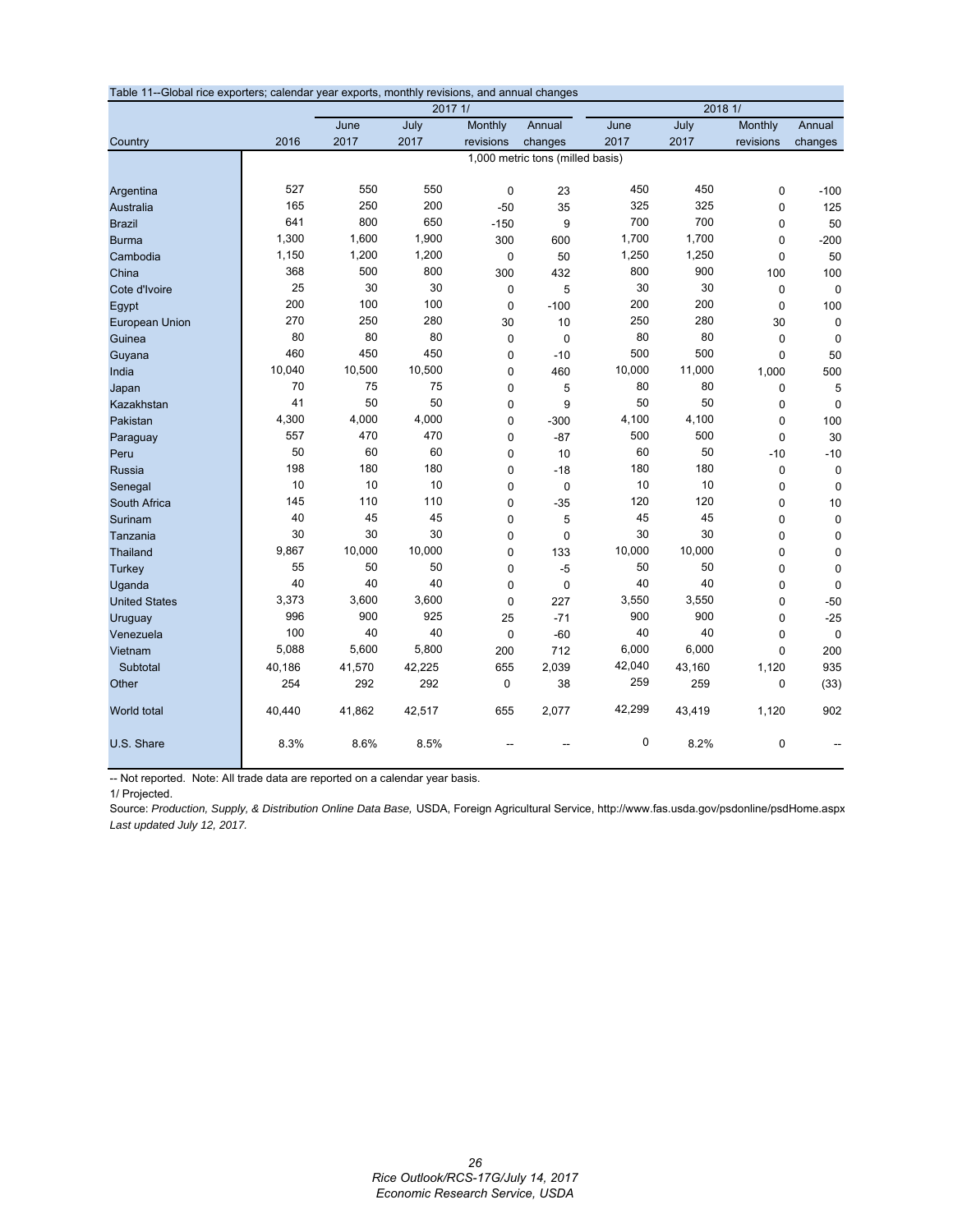| Table 11--Global rice exporters; calendar year exports, monthly revisions, and annual changes |        |        |         |             |                                  |             |         |             |             |  |
|-----------------------------------------------------------------------------------------------|--------|--------|---------|-------------|----------------------------------|-------------|---------|-------------|-------------|--|
|                                                                                               |        |        | 2017 1/ |             |                                  |             | 2018 1/ |             |             |  |
|                                                                                               |        | June   | July    | Monthly     | Annual                           | June        | July    | Monthly     | Annual      |  |
| Country                                                                                       | 2016   | 2017   | 2017    | revisions   | changes                          | 2017        | 2017    | revisions   | changes     |  |
|                                                                                               |        |        |         |             | 1,000 metric tons (milled basis) |             |         |             |             |  |
|                                                                                               |        |        |         |             |                                  |             |         |             |             |  |
| Argentina                                                                                     | 527    | 550    | 550     | $\mathbf 0$ | 23                               | 450         | 450     | 0           | $-100$      |  |
| Australia                                                                                     | 165    | 250    | 200     | $-50$       | 35                               | 325         | 325     | 0           | 125         |  |
| <b>Brazil</b>                                                                                 | 641    | 800    | 650     | $-150$      | 9                                | 700         | 700     | 0           | 50          |  |
| <b>Burma</b>                                                                                  | 1,300  | 1,600  | 1,900   | 300         | 600                              | 1,700       | 1,700   | 0           | $-200$      |  |
| Cambodia                                                                                      | 1,150  | 1,200  | 1,200   | $\pmb{0}$   | 50                               | 1,250       | 1,250   | $\mathbf 0$ | 50          |  |
| China                                                                                         | 368    | 500    | 800     | 300         | 432                              | 800         | 900     | 100         | 100         |  |
| Cote d'Ivoire                                                                                 | 25     | 30     | 30      | $\mathbf 0$ | 5                                | 30          | 30      | 0           | $\mathbf 0$ |  |
| Egypt                                                                                         | 200    | 100    | 100     | $\mathbf 0$ | $-100$                           | 200         | 200     | 0           | 100         |  |
| European Union                                                                                | 270    | 250    | 280     | 30          | 10                               | 250         | 280     | 30          | 0           |  |
| Guinea                                                                                        | 80     | 80     | 80      | $\mathbf 0$ | $\mathbf 0$                      | 80          | 80      | 0           | $\Omega$    |  |
| Guyana                                                                                        | 460    | 450    | 450     | $\mathbf 0$ | $-10$                            | 500         | 500     | 0           | 50          |  |
| India                                                                                         | 10,040 | 10,500 | 10,500  | $\mathbf 0$ | 460                              | 10,000      | 11,000  | 1,000       | 500         |  |
| Japan                                                                                         | 70     | 75     | 75      | $\mathbf 0$ | 5                                | 80          | 80      | 0           | 5           |  |
| Kazakhstan                                                                                    | 41     | 50     | 50      | $\mathbf 0$ | 9                                | 50          | 50      | 0           | $\mathbf 0$ |  |
| Pakistan                                                                                      | 4,300  | 4,000  | 4,000   | $\pmb{0}$   | $-300$                           | 4,100       | 4,100   | 0           | 100         |  |
| Paraguay                                                                                      | 557    | 470    | 470     | $\mathbf 0$ | $-87$                            | 500         | 500     | 0           | 30          |  |
| Peru                                                                                          | 50     | 60     | 60      | 0           | 10                               | 60          | 50      | $-10$       | $-10$       |  |
| <b>Russia</b>                                                                                 | 198    | 180    | 180     | $\mathbf 0$ | $-18$                            | 180         | 180     | 0           | $\mathbf 0$ |  |
| Senegal                                                                                       | 10     | 10     | 10      | $\mathbf 0$ | $\mathbf 0$                      | 10          | 10      | 0           | $\Omega$    |  |
| South Africa                                                                                  | 145    | 110    | 110     | $\mathbf 0$ | $-35$                            | 120         | 120     | 0           | 10          |  |
| Surinam                                                                                       | 40     | 45     | 45      | $\pmb{0}$   | 5                                | 45          | 45      | 0           | $\mathbf 0$ |  |
| Tanzania                                                                                      | 30     | 30     | 30      | $\mathbf 0$ | $\mathbf 0$                      | 30          | 30      | 0           | $\mathbf 0$ |  |
| <b>Thailand</b>                                                                               | 9,867  | 10,000 | 10,000  | $\mathbf 0$ | 133                              | 10,000      | 10,000  | $\pmb{0}$   | $\pmb{0}$   |  |
| <b>Turkey</b>                                                                                 | 55     | 50     | 50      | $\mathbf 0$ | $-5$                             | 50          | 50      | $\pmb{0}$   | $\mathbf 0$ |  |
| Uganda                                                                                        | 40     | 40     | 40      | $\mathbf 0$ | $\mathbf 0$                      | 40          | 40      | 0           | $\mathbf 0$ |  |
| <b>United States</b>                                                                          | 3,373  | 3,600  | 3,600   | 0           | 227                              | 3,550       | 3,550   | 0           | $-50$       |  |
| Uruguay                                                                                       | 996    | 900    | 925     | 25          | $-71$                            | 900         | 900     | 0           | $-25$       |  |
| Venezuela                                                                                     | 100    | 40     | 40      | $\mathbf 0$ | $-60$                            | 40          | 40      | 0           | $\mathbf 0$ |  |
| Vietnam                                                                                       | 5,088  | 5,600  | 5,800   | 200         | 712                              | 6,000       | 6,000   | 0           | 200         |  |
| Subtotal                                                                                      | 40,186 | 41,570 | 42,225  | 655         | 2,039                            | 42,040      | 43,160  | 1,120       | 935         |  |
| Other                                                                                         | 254    | 292    | 292     | 0           | 38                               | 259         | 259     | 0           | (33)        |  |
| World total                                                                                   | 40,440 | 41,862 | 42,517  | 655         | 2,077                            | 42,299      | 43,419  | 1,120       | 902         |  |
| U.S. Share                                                                                    | 8.3%   | 8.6%   | 8.5%    |             |                                  | $\mathbf 0$ | 8.2%    | 0           |             |  |

-- Not reported. Note: All trade data are reported on a calendar year basis.

1/ Projected.

Source: *Production, Supply, & Distribution Online Data Base,* USDA, Foreign Agricultural Service, http://www.fas.usda.gov/psdonline/psdHome.aspx *Last updated July 12, 2017.*